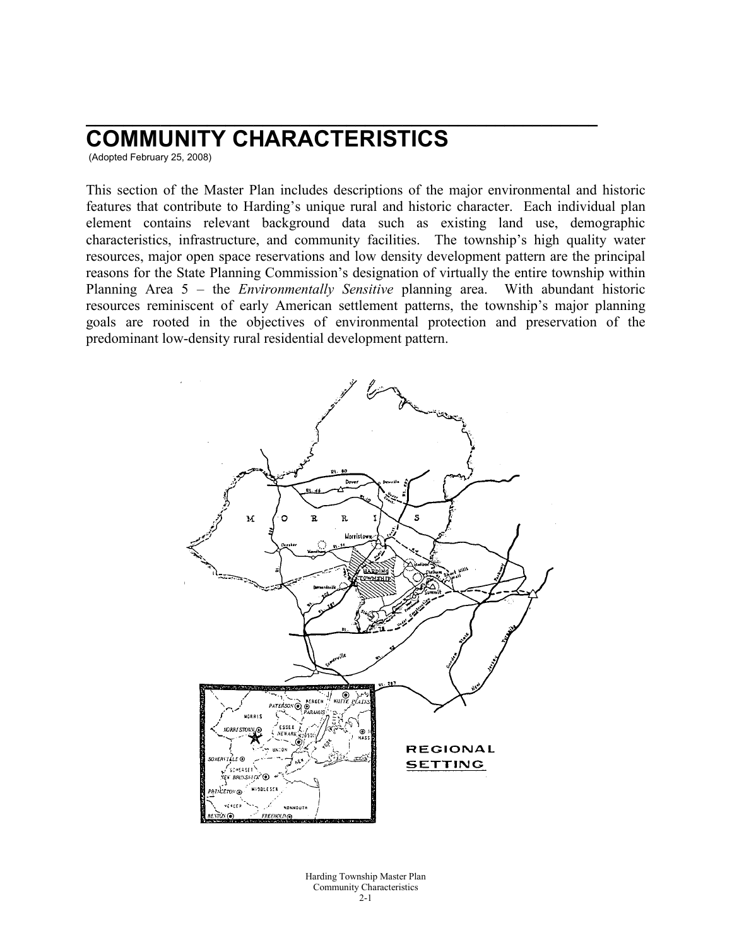# **COMMUNITY CHARACTERISTICS**

(Adopted February 25, 2008)

This section of the Master Plan includes descriptions of the major environmental and historic features that contribute to Harding's unique rural and historic character. Each individual plan element contains relevant background data such as existing land use, demographic characteristics, infrastructure, and community facilities. The township's high quality water resources, major open space reservations and low density development pattern are the principal reasons for the State Planning Commission's designation of virtually the entire township within Planning Area 5 – the *Environmentally Sensitive* planning area. With abundant historic resources reminiscent of early American settlement patterns, the township's major planning goals are rooted in the objectives of environmental protection and preservation of the predominant low-density rural residential development pattern.

**\_\_\_\_\_\_\_\_\_\_\_\_\_\_\_\_\_\_\_\_\_\_\_\_\_\_\_\_\_\_\_\_\_\_\_\_\_\_\_\_\_\_\_\_\_\_\_\_\_\_\_\_\_\_\_**



Harding Township Master Plan Community Characteristics  $2 - 1$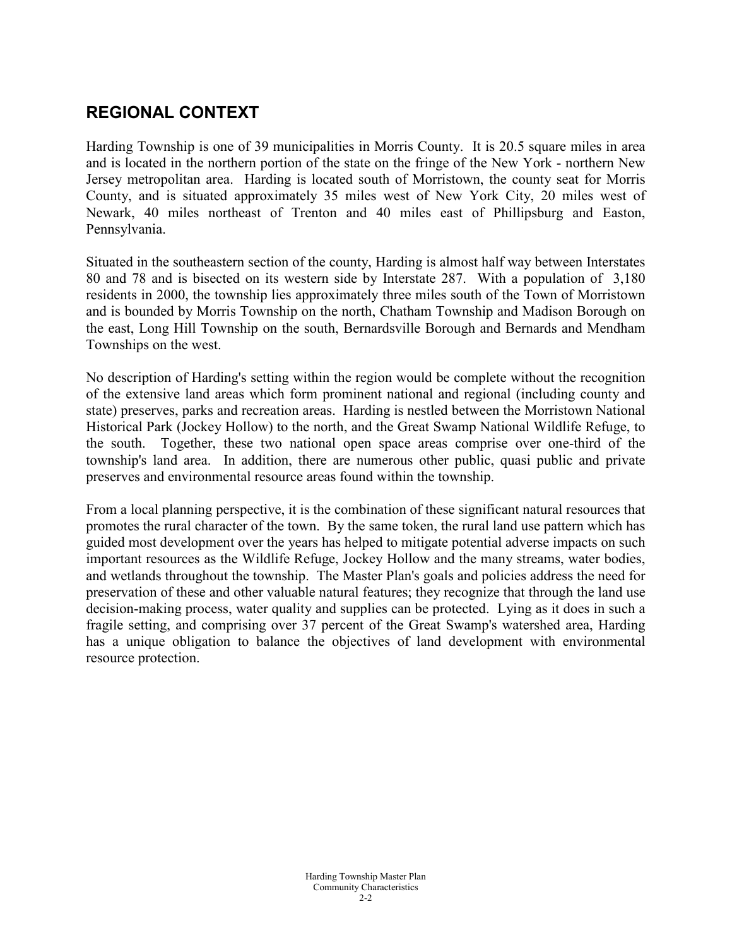# **REGIONAL CONTEXT**

Harding Township is one of 39 municipalities in Morris County. It is 20.5 square miles in area and is located in the northern portion of the state on the fringe of the New York - northern New Jersey metropolitan area. Harding is located south of Morristown, the county seat for Morris County, and is situated approximately 35 miles west of New York City, 20 miles west of Newark, 40 miles northeast of Trenton and 40 miles east of Phillipsburg and Easton, Pennsylvania.

Situated in the southeastern section of the county, Harding is almost half way between Interstates 80 and 78 and is bisected on its western side by Interstate 287. With a population of 3,180 residents in 2000, the township lies approximately three miles south of the Town of Morristown and is bounded by Morris Township on the north, Chatham Township and Madison Borough on the east, Long Hill Township on the south, Bernardsville Borough and Bernards and Mendham Townships on the west.

No description of Harding's setting within the region would be complete without the recognition of the extensive land areas which form prominent national and regional (including county and state) preserves, parks and recreation areas. Harding is nestled between the Morristown National Historical Park (Jockey Hollow) to the north, and the Great Swamp National Wildlife Refuge, to the south. Together, these two national open space areas comprise over one-third of the township's land area. In addition, there are numerous other public, quasi public and private preserves and environmental resource areas found within the township.

From a local planning perspective, it is the combination of these significant natural resources that promotes the rural character of the town. By the same token, the rural land use pattern which has guided most development over the years has helped to mitigate potential adverse impacts on such important resources as the Wildlife Refuge, Jockey Hollow and the many streams, water bodies, and wetlands throughout the township. The Master Plan's goals and policies address the need for preservation of these and other valuable natural features; they recognize that through the land use decision-making process, water quality and supplies can be protected. Lying as it does in such a fragile setting, and comprising over 37 percent of the Great Swamp's watershed area, Harding has a unique obligation to balance the objectives of land development with environmental resource protection.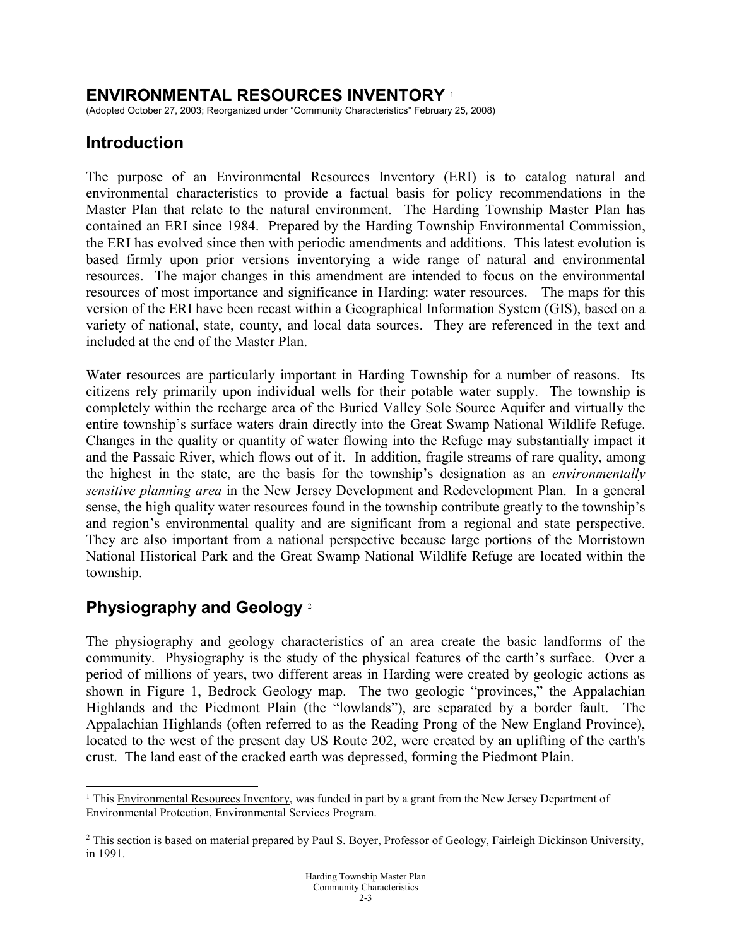### **ENVIRONMENTAL RESOURCES INVENTORY** [1](#page-2-0)

(Adopted October 27, 2003; Reorganized under "Community Characteristics" February 25, 2008)

## **Introduction**

The purpose of an Environmental Resources Inventory (ERI) is to catalog natural and environmental characteristics to provide a factual basis for policy recommendations in the Master Plan that relate to the natural environment. The Harding Township Master Plan has contained an ERI since 1984. Prepared by the Harding Township Environmental Commission, the ERI has evolved since then with periodic amendments and additions. This latest evolution is based firmly upon prior versions inventorying a wide range of natural and environmental resources. The major changes in this amendment are intended to focus on the environmental resources of most importance and significance in Harding: water resources. The maps for this version of the ERI have been recast within a Geographical Information System (GIS), based on a variety of national, state, county, and local data sources. They are referenced in the text and included at the end of the Master Plan.

Water resources are particularly important in Harding Township for a number of reasons. Its citizens rely primarily upon individual wells for their potable water supply. The township is completely within the recharge area of the Buried Valley Sole Source Aquifer and virtually the entire township's surface waters drain directly into the Great Swamp National Wildlife Refuge. Changes in the quality or quantity of water flowing into the Refuge may substantially impact it and the Passaic River, which flows out of it. In addition, fragile streams of rare quality, among the highest in the state, are the basis for the township's designation as an *environmentally sensitive planning area* in the New Jersey Development and Redevelopment Plan. In a general sense, the high quality water resources found in the township contribute greatly to the township's and region's environmental quality and are significant from a regional and state perspective. They are also important from a national perspective because large portions of the Morristown National Historical Park and the Great Swamp National Wildlife Refuge are located within the township.

## **Physiography and Geology** [2](#page-2-1)

The physiography and geology characteristics of an area create the basic landforms of the community. Physiography is the study of the physical features of the earth's surface. Over a period of millions of years, two different areas in Harding were created by geologic actions as shown in Figure 1, Bedrock Geology map. The two geologic "provinces," the Appalachian Highlands and the Piedmont Plain (the "lowlands"), are separated by a border fault. The Appalachian Highlands (often referred to as the Reading Prong of the New England Province), located to the west of the present day US Route 202, were created by an uplifting of the earth's crust. The land east of the cracked earth was depressed, forming the Piedmont Plain.

<span id="page-2-0"></span><sup>&</sup>lt;sup>1</sup> This Environmental Resources Inventory, was funded in part by a grant from the New Jersey Department of Environmental Protection, Environmental Services Program.

<span id="page-2-1"></span><sup>&</sup>lt;sup>2</sup> This section is based on material prepared by Paul S. Boyer, Professor of Geology, Fairleigh Dickinson University, in 1991.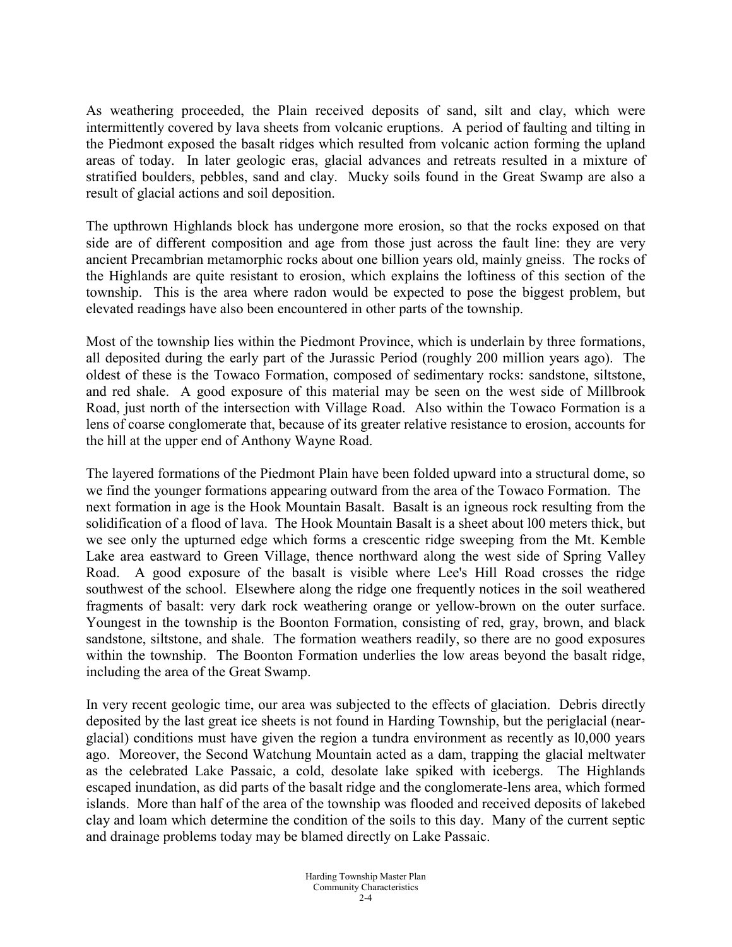As weathering proceeded, the Plain received deposits of sand, silt and clay, which were intermittently covered by lava sheets from volcanic eruptions. A period of faulting and tilting in the Piedmont exposed the basalt ridges which resulted from volcanic action forming the upland areas of today. In later geologic eras, glacial advances and retreats resulted in a mixture of stratified boulders, pebbles, sand and clay. Mucky soils found in the Great Swamp are also a result of glacial actions and soil deposition.

The upthrown Highlands block has undergone more erosion, so that the rocks exposed on that side are of different composition and age from those just across the fault line: they are very ancient Precambrian metamorphic rocks about one billion years old, mainly gneiss. The rocks of the Highlands are quite resistant to erosion, which explains the loftiness of this section of the township. This is the area where radon would be expected to pose the biggest problem, but elevated readings have also been encountered in other parts of the township.

Most of the township lies within the Piedmont Province, which is underlain by three formations, all deposited during the early part of the Jurassic Period (roughly 200 million years ago). The oldest of these is the Towaco Formation, composed of sedimentary rocks: sandstone, siltstone, and red shale. A good exposure of this material may be seen on the west side of Millbrook Road, just north of the intersection with Village Road. Also within the Towaco Formation is a lens of coarse conglomerate that, because of its greater relative resistance to erosion, accounts for the hill at the upper end of Anthony Wayne Road.

The layered formations of the Piedmont Plain have been folded upward into a structural dome, so we find the younger formations appearing outward from the area of the Towaco Formation. The next formation in age is the Hook Mountain Basalt. Basalt is an igneous rock resulting from the solidification of a flood of lava. The Hook Mountain Basalt is a sheet about l00 meters thick, but we see only the upturned edge which forms a crescentic ridge sweeping from the Mt. Kemble Lake area eastward to Green Village, thence northward along the west side of Spring Valley Road. A good exposure of the basalt is visible where Lee's Hill Road crosses the ridge southwest of the school. Elsewhere along the ridge one frequently notices in the soil weathered fragments of basalt: very dark rock weathering orange or yellow-brown on the outer surface. Youngest in the township is the Boonton Formation, consisting of red, gray, brown, and black sandstone, siltstone, and shale. The formation weathers readily, so there are no good exposures within the township. The Boonton Formation underlies the low areas beyond the basalt ridge, including the area of the Great Swamp.

In very recent geologic time, our area was subjected to the effects of glaciation. Debris directly deposited by the last great ice sheets is not found in Harding Township, but the periglacial (nearglacial) conditions must have given the region a tundra environment as recently as l0,000 years ago. Moreover, the Second Watchung Mountain acted as a dam, trapping the glacial meltwater as the celebrated Lake Passaic, a cold, desolate lake spiked with icebergs. The Highlands escaped inundation, as did parts of the basalt ridge and the conglomerate-lens area, which formed islands. More than half of the area of the township was flooded and received deposits of lakebed clay and loam which determine the condition of the soils to this day. Many of the current septic and drainage problems today may be blamed directly on Lake Passaic.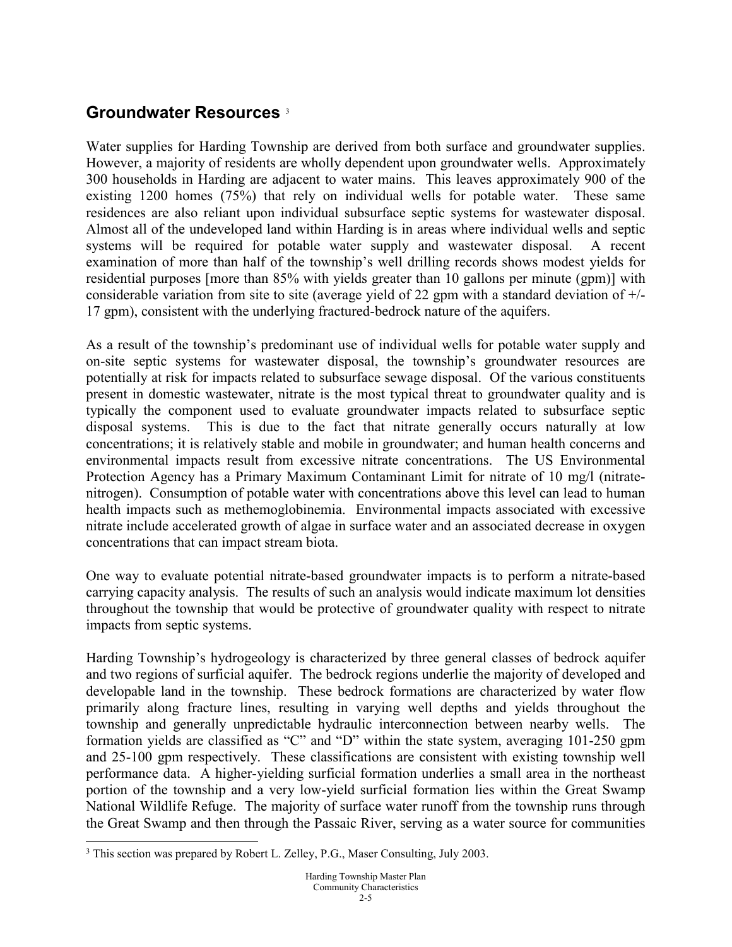## **Groundwater Resources** [3](#page-4-0)

Water supplies for Harding Township are derived from both surface and groundwater supplies. However, a majority of residents are wholly dependent upon groundwater wells. Approximately 300 households in Harding are adjacent to water mains. This leaves approximately 900 of the existing 1200 homes (75%) that rely on individual wells for potable water. These same residences are also reliant upon individual subsurface septic systems for wastewater disposal. Almost all of the undeveloped land within Harding is in areas where individual wells and septic systems will be required for potable water supply and wastewater disposal. A recent examination of more than half of the township's well drilling records shows modest yields for residential purposes [more than 85% with yields greater than 10 gallons per minute (gpm)] with considerable variation from site to site (average yield of 22 gpm with a standard deviation of +/- 17 gpm), consistent with the underlying fractured-bedrock nature of the aquifers.

As a result of the township's predominant use of individual wells for potable water supply and on-site septic systems for wastewater disposal, the township's groundwater resources are potentially at risk for impacts related to subsurface sewage disposal. Of the various constituents present in domestic wastewater, nitrate is the most typical threat to groundwater quality and is typically the component used to evaluate groundwater impacts related to subsurface septic disposal systems. This is due to the fact that nitrate generally occurs naturally at low concentrations; it is relatively stable and mobile in groundwater; and human health concerns and environmental impacts result from excessive nitrate concentrations. The US Environmental Protection Agency has a Primary Maximum Contaminant Limit for nitrate of 10 mg/l (nitratenitrogen). Consumption of potable water with concentrations above this level can lead to human health impacts such as methemoglobinemia. Environmental impacts associated with excessive nitrate include accelerated growth of algae in surface water and an associated decrease in oxygen concentrations that can impact stream biota.

One way to evaluate potential nitrate-based groundwater impacts is to perform a nitrate-based carrying capacity analysis. The results of such an analysis would indicate maximum lot densities throughout the township that would be protective of groundwater quality with respect to nitrate impacts from septic systems.

Harding Township's hydrogeology is characterized by three general classes of bedrock aquifer and two regions of surficial aquifer. The bedrock regions underlie the majority of developed and developable land in the township. These bedrock formations are characterized by water flow primarily along fracture lines, resulting in varying well depths and yields throughout the township and generally unpredictable hydraulic interconnection between nearby wells. The formation yields are classified as "C" and "D" within the state system, averaging 101-250 gpm and 25-100 gpm respectively. These classifications are consistent with existing township well performance data. A higher-yielding surficial formation underlies a small area in the northeast portion of the township and a very low-yield surficial formation lies within the Great Swamp National Wildlife Refuge. The majority of surface water runoff from the township runs through the Great Swamp and then through the Passaic River, serving as a water source for communities

<span id="page-4-0"></span> <sup>3</sup> This section was prepared by Robert L. Zelley, P.G., Maser Consulting, July 2003.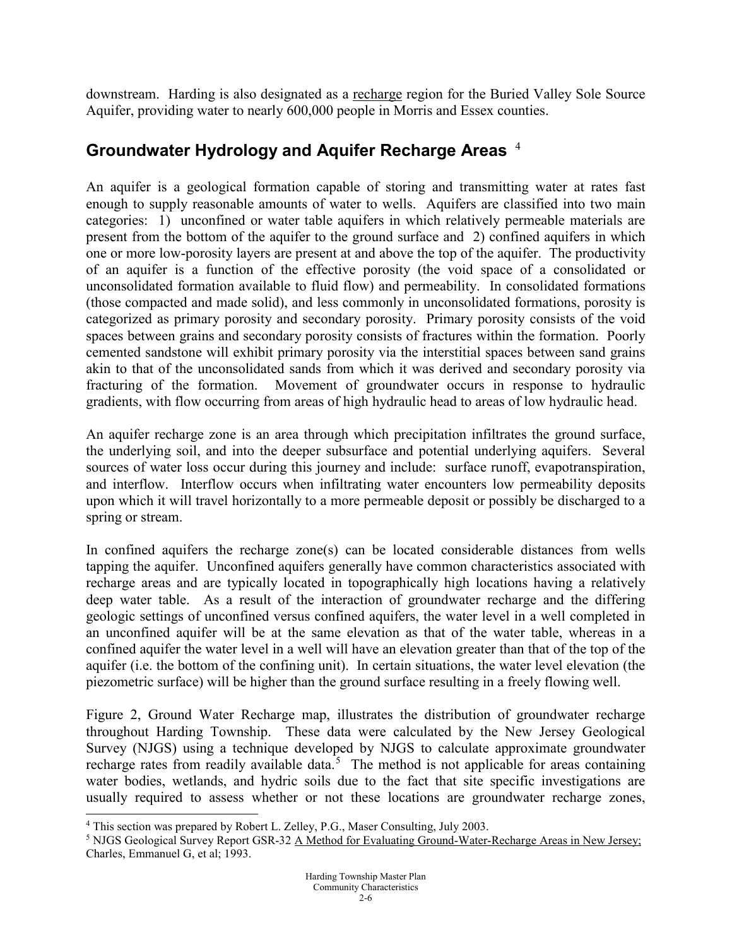downstream. Harding is also designated as a recharge region for the Buried Valley Sole Source Aquifer, providing water to nearly 600,000 people in Morris and Essex counties.

## **Groundwater Hydrology and Aquifer Recharge Areas** [4](#page-5-0)

An aquifer is a geological formation capable of storing and transmitting water at rates fast enough to supply reasonable amounts of water to wells. Aquifers are classified into two main categories: 1) unconfined or water table aquifers in which relatively permeable materials are present from the bottom of the aquifer to the ground surface and 2) confined aquifers in which one or more low-porosity layers are present at and above the top of the aquifer. The productivity of an aquifer is a function of the effective porosity (the void space of a consolidated or unconsolidated formation available to fluid flow) and permeability. In consolidated formations (those compacted and made solid), and less commonly in unconsolidated formations, porosity is categorized as primary porosity and secondary porosity. Primary porosity consists of the void spaces between grains and secondary porosity consists of fractures within the formation. Poorly cemented sandstone will exhibit primary porosity via the interstitial spaces between sand grains akin to that of the unconsolidated sands from which it was derived and secondary porosity via fracturing of the formation. Movement of groundwater occurs in response to hydraulic gradients, with flow occurring from areas of high hydraulic head to areas of low hydraulic head.

An aquifer recharge zone is an area through which precipitation infiltrates the ground surface, the underlying soil, and into the deeper subsurface and potential underlying aquifers. Several sources of water loss occur during this journey and include: surface runoff, evapotranspiration, and interflow. Interflow occurs when infiltrating water encounters low permeability deposits upon which it will travel horizontally to a more permeable deposit or possibly be discharged to a spring or stream.

In confined aquifers the recharge zone(s) can be located considerable distances from wells tapping the aquifer. Unconfined aquifers generally have common characteristics associated with recharge areas and are typically located in topographically high locations having a relatively deep water table. As a result of the interaction of groundwater recharge and the differing geologic settings of unconfined versus confined aquifers, the water level in a well completed in an unconfined aquifer will be at the same elevation as that of the water table, whereas in a confined aquifer the water level in a well will have an elevation greater than that of the top of the aquifer (i.e. the bottom of the confining unit). In certain situations, the water level elevation (the piezometric surface) will be higher than the ground surface resulting in a freely flowing well.

Figure 2, Ground Water Recharge map, illustrates the distribution of groundwater recharge throughout Harding Township. These data were calculated by the New Jersey Geological Survey (NJGS) using a technique developed by NJGS to calculate approximate groundwater recharge rates from readily available data.<sup>[5](#page-5-1)</sup> The method is not applicable for areas containing water bodies, wetlands, and hydric soils due to the fact that site specific investigations are usually required to assess whether or not these locations are groundwater recharge zones,

<span id="page-5-0"></span> <sup>4</sup> This section was prepared by Robert L. Zelley, P.G., Maser Consulting, July 2003.

<span id="page-5-1"></span><sup>5</sup> NJGS Geological Survey Report GSR-32 A Method for Evaluating Ground-Water-Recharge Areas in New Jersey; Charles, Emmanuel G, et al; 1993.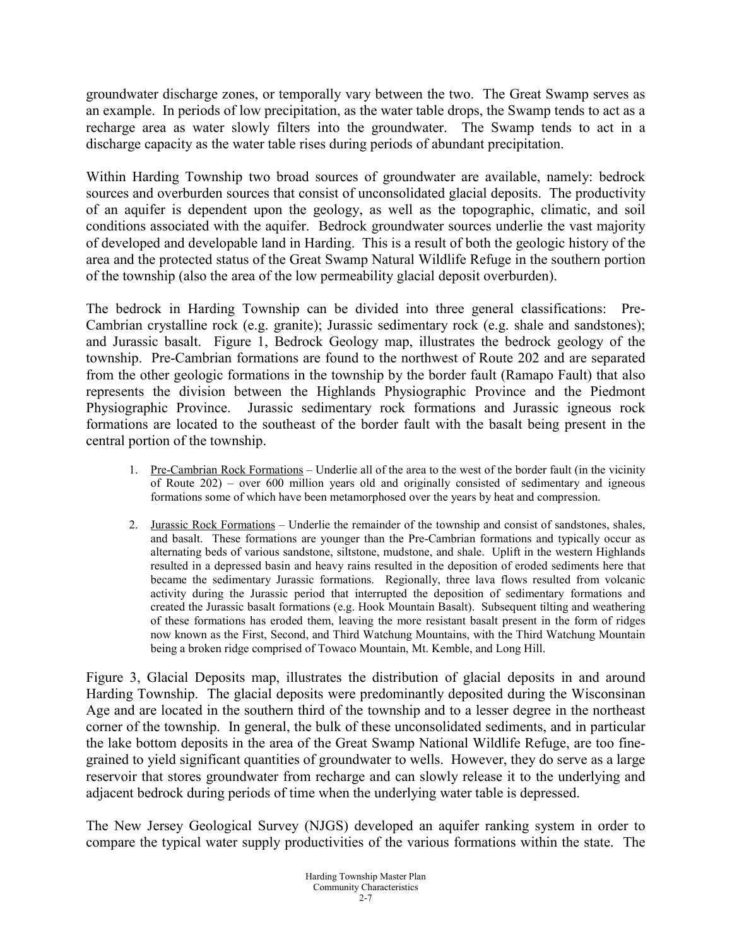groundwater discharge zones, or temporally vary between the two. The Great Swamp serves as an example. In periods of low precipitation, as the water table drops, the Swamp tends to act as a recharge area as water slowly filters into the groundwater. The Swamp tends to act in a discharge capacity as the water table rises during periods of abundant precipitation.

Within Harding Township two broad sources of groundwater are available, namely: bedrock sources and overburden sources that consist of unconsolidated glacial deposits. The productivity of an aquifer is dependent upon the geology, as well as the topographic, climatic, and soil conditions associated with the aquifer. Bedrock groundwater sources underlie the vast majority of developed and developable land in Harding. This is a result of both the geologic history of the area and the protected status of the Great Swamp Natural Wildlife Refuge in the southern portion of the township (also the area of the low permeability glacial deposit overburden).

The bedrock in Harding Township can be divided into three general classifications: Pre-Cambrian crystalline rock (e.g. granite); Jurassic sedimentary rock (e.g. shale and sandstones); and Jurassic basalt. Figure 1, Bedrock Geology map, illustrates the bedrock geology of the township. Pre-Cambrian formations are found to the northwest of Route 202 and are separated from the other geologic formations in the township by the border fault (Ramapo Fault) that also represents the division between the Highlands Physiographic Province and the Piedmont Physiographic Province. Jurassic sedimentary rock formations and Jurassic igneous rock formations are located to the southeast of the border fault with the basalt being present in the central portion of the township.

- 1. Pre-Cambrian Rock Formations Underlie all of the area to the west of the border fault (in the vicinity of Route 202) – over 600 million years old and originally consisted of sedimentary and igneous formations some of which have been metamorphosed over the years by heat and compression.
- 2. Jurassic Rock Formations Underlie the remainder of the township and consist of sandstones, shales, and basalt. These formations are younger than the Pre-Cambrian formations and typically occur as alternating beds of various sandstone, siltstone, mudstone, and shale. Uplift in the western Highlands resulted in a depressed basin and heavy rains resulted in the deposition of eroded sediments here that became the sedimentary Jurassic formations. Regionally, three lava flows resulted from volcanic activity during the Jurassic period that interrupted the deposition of sedimentary formations and created the Jurassic basalt formations (e.g. Hook Mountain Basalt). Subsequent tilting and weathering of these formations has eroded them, leaving the more resistant basalt present in the form of ridges now known as the First, Second, and Third Watchung Mountains, with the Third Watchung Mountain being a broken ridge comprised of Towaco Mountain, Mt. Kemble, and Long Hill.

Figure 3, Glacial Deposits map, illustrates the distribution of glacial deposits in and around Harding Township. The glacial deposits were predominantly deposited during the Wisconsinan Age and are located in the southern third of the township and to a lesser degree in the northeast corner of the township. In general, the bulk of these unconsolidated sediments, and in particular the lake bottom deposits in the area of the Great Swamp National Wildlife Refuge, are too finegrained to yield significant quantities of groundwater to wells. However, they do serve as a large reservoir that stores groundwater from recharge and can slowly release it to the underlying and adjacent bedrock during periods of time when the underlying water table is depressed.

The New Jersey Geological Survey (NJGS) developed an aquifer ranking system in order to compare the typical water supply productivities of the various formations within the state. The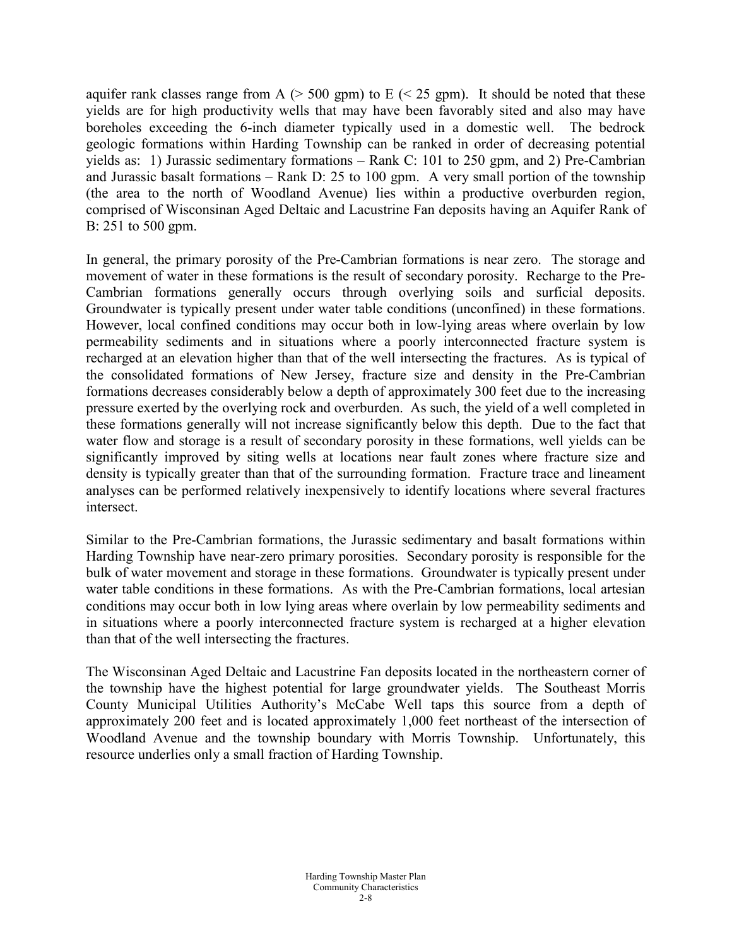aquifer rank classes range from A  $(> 500 \text{ gpm})$  to E  $(< 25 \text{ gpm})$ . It should be noted that these yields are for high productivity wells that may have been favorably sited and also may have boreholes exceeding the 6-inch diameter typically used in a domestic well. The bedrock geologic formations within Harding Township can be ranked in order of decreasing potential yields as: 1) Jurassic sedimentary formations – Rank C: 101 to 250 gpm, and 2) Pre-Cambrian and Jurassic basalt formations – Rank D: 25 to 100 gpm. A very small portion of the township (the area to the north of Woodland Avenue) lies within a productive overburden region, comprised of Wisconsinan Aged Deltaic and Lacustrine Fan deposits having an Aquifer Rank of B: 251 to 500 gpm.

In general, the primary porosity of the Pre-Cambrian formations is near zero. The storage and movement of water in these formations is the result of secondary porosity. Recharge to the Pre-Cambrian formations generally occurs through overlying soils and surficial deposits. Groundwater is typically present under water table conditions (unconfined) in these formations. However, local confined conditions may occur both in low-lying areas where overlain by low permeability sediments and in situations where a poorly interconnected fracture system is recharged at an elevation higher than that of the well intersecting the fractures. As is typical of the consolidated formations of New Jersey, fracture size and density in the Pre-Cambrian formations decreases considerably below a depth of approximately 300 feet due to the increasing pressure exerted by the overlying rock and overburden. As such, the yield of a well completed in these formations generally will not increase significantly below this depth. Due to the fact that water flow and storage is a result of secondary porosity in these formations, well yields can be significantly improved by siting wells at locations near fault zones where fracture size and density is typically greater than that of the surrounding formation. Fracture trace and lineament analyses can be performed relatively inexpensively to identify locations where several fractures intersect.

Similar to the Pre-Cambrian formations, the Jurassic sedimentary and basalt formations within Harding Township have near-zero primary porosities. Secondary porosity is responsible for the bulk of water movement and storage in these formations. Groundwater is typically present under water table conditions in these formations. As with the Pre-Cambrian formations, local artesian conditions may occur both in low lying areas where overlain by low permeability sediments and in situations where a poorly interconnected fracture system is recharged at a higher elevation than that of the well intersecting the fractures.

The Wisconsinan Aged Deltaic and Lacustrine Fan deposits located in the northeastern corner of the township have the highest potential for large groundwater yields. The Southeast Morris County Municipal Utilities Authority's McCabe Well taps this source from a depth of approximately 200 feet and is located approximately 1,000 feet northeast of the intersection of Woodland Avenue and the township boundary with Morris Township. Unfortunately, this resource underlies only a small fraction of Harding Township.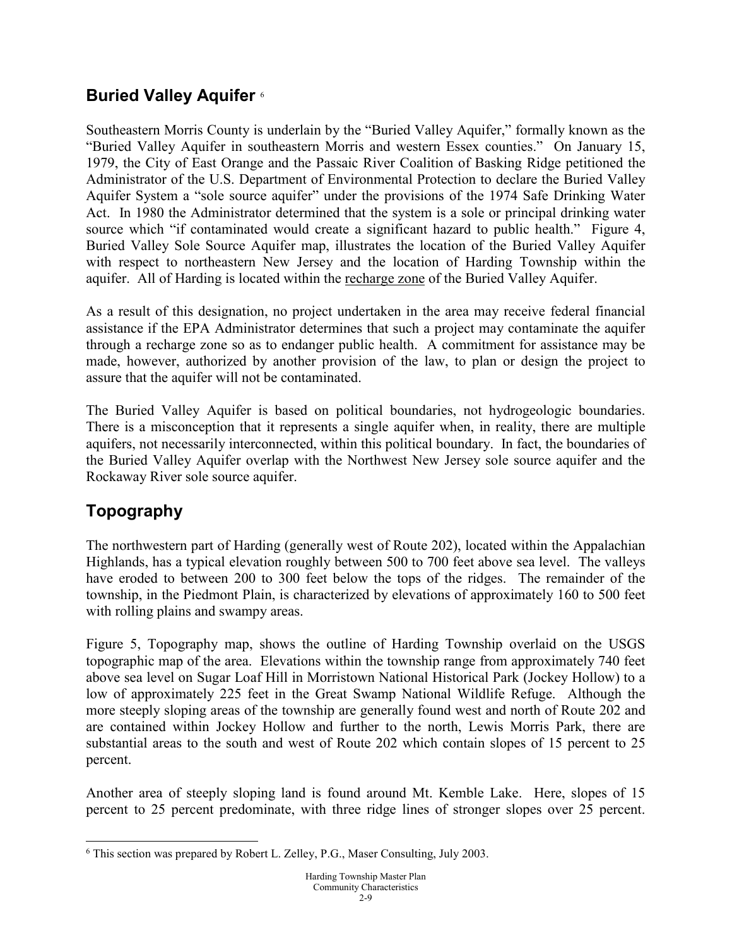### **Buried Valley Aquifer** [6](#page-8-0)

Southeastern Morris County is underlain by the "Buried Valley Aquifer," formally known as the "Buried Valley Aquifer in southeastern Morris and western Essex counties." On January 15, 1979, the City of East Orange and the Passaic River Coalition of Basking Ridge petitioned the Administrator of the U.S. Department of Environmental Protection to declare the Buried Valley Aquifer System a "sole source aquifer" under the provisions of the 1974 Safe Drinking Water Act. In 1980 the Administrator determined that the system is a sole or principal drinking water source which "if contaminated would create a significant hazard to public health." Figure 4, Buried Valley Sole Source Aquifer map, illustrates the location of the Buried Valley Aquifer with respect to northeastern New Jersey and the location of Harding Township within the aquifer. All of Harding is located within the recharge zone of the Buried Valley Aquifer.

As a result of this designation, no project undertaken in the area may receive federal financial assistance if the EPA Administrator determines that such a project may contaminate the aquifer through a recharge zone so as to endanger public health. A commitment for assistance may be made, however, authorized by another provision of the law, to plan or design the project to assure that the aquifer will not be contaminated.

The Buried Valley Aquifer is based on political boundaries, not hydrogeologic boundaries. There is a misconception that it represents a single aquifer when, in reality, there are multiple aquifers, not necessarily interconnected, within this political boundary. In fact, the boundaries of the Buried Valley Aquifer overlap with the Northwest New Jersey sole source aquifer and the Rockaway River sole source aquifer.

# **Topography**

The northwestern part of Harding (generally west of Route 202), located within the Appalachian Highlands, has a typical elevation roughly between 500 to 700 feet above sea level. The valleys have eroded to between 200 to 300 feet below the tops of the ridges. The remainder of the township, in the Piedmont Plain, is characterized by elevations of approximately 160 to 500 feet with rolling plains and swampy areas.

Figure 5, Topography map, shows the outline of Harding Township overlaid on the USGS topographic map of the area. Elevations within the township range from approximately 740 feet above sea level on Sugar Loaf Hill in Morristown National Historical Park (Jockey Hollow) to a low of approximately 225 feet in the Great Swamp National Wildlife Refuge. Although the more steeply sloping areas of the township are generally found west and north of Route 202 and are contained within Jockey Hollow and further to the north, Lewis Morris Park, there are substantial areas to the south and west of Route 202 which contain slopes of 15 percent to 25 percent.

Another area of steeply sloping land is found around Mt. Kemble Lake. Here, slopes of 15 percent to 25 percent predominate, with three ridge lines of stronger slopes over 25 percent.

<span id="page-8-0"></span> <sup>6</sup> This section was prepared by Robert L. Zelley, P.G., Maser Consulting, July 2003.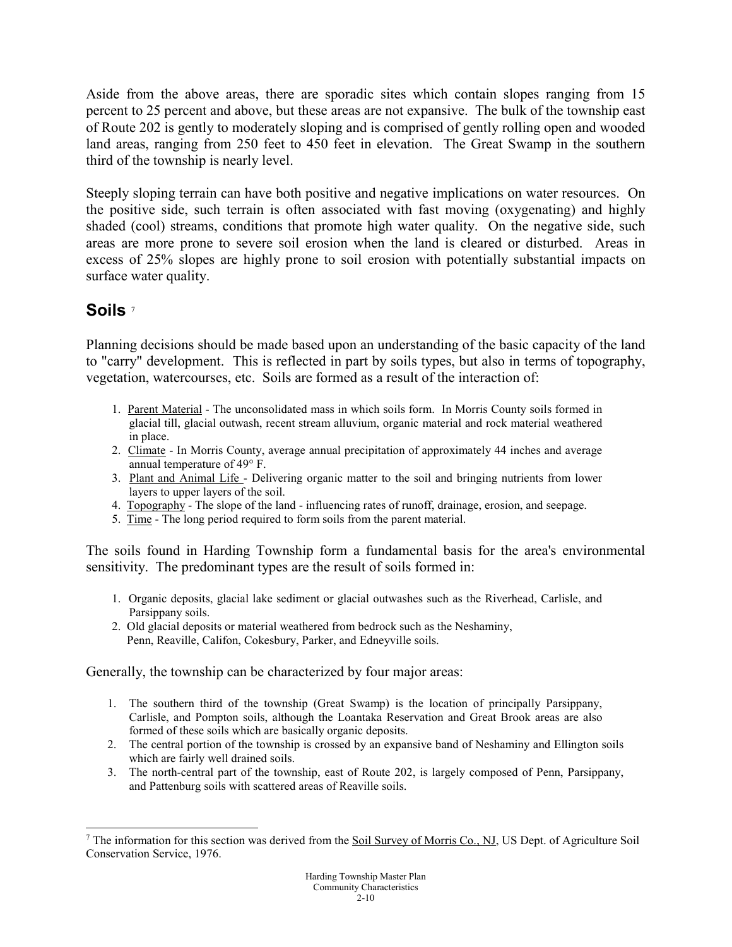Aside from the above areas, there are sporadic sites which contain slopes ranging from 15 percent to 25 percent and above, but these areas are not expansive. The bulk of the township east of Route 202 is gently to moderately sloping and is comprised of gently rolling open and wooded land areas, ranging from 250 feet to 450 feet in elevation. The Great Swamp in the southern third of the township is nearly level.

Steeply sloping terrain can have both positive and negative implications on water resources. On the positive side, such terrain is often associated with fast moving (oxygenating) and highly shaded (cool) streams, conditions that promote high water quality. On the negative side, such areas are more prone to severe soil erosion when the land is cleared or disturbed. Areas in excess of 25% slopes are highly prone to soil erosion with potentially substantial impacts on surface water quality.

### **Soils** [7](#page-9-0)

Planning decisions should be made based upon an understanding of the basic capacity of the land to "carry" development. This is reflected in part by soils types, but also in terms of topography, vegetation, watercourses, etc. Soils are formed as a result of the interaction of:

- 1. Parent Material The unconsolidated mass in which soils form. In Morris County soils formed in glacial till, glacial outwash, recent stream alluvium, organic material and rock material weathered in place.
- 2. Climate In Morris County, average annual precipitation of approximately 44 inches and average annual temperature of 49° F.
- 3. Plant and Animal Life Delivering organic matter to the soil and bringing nutrients from lower layers to upper layers of the soil.
- 4. Topography The slope of the land influencing rates of runoff, drainage, erosion, and seepage.
- 5. Time The long period required to form soils from the parent material.

The soils found in Harding Township form a fundamental basis for the area's environmental sensitivity. The predominant types are the result of soils formed in:

- 1. Organic deposits, glacial lake sediment or glacial outwashes such as the Riverhead, Carlisle, and Parsippany soils.
- 2. Old glacial deposits or material weathered from bedrock such as the Neshaminy, Penn, Reaville, Califon, Cokesbury, Parker, and Edneyville soils.

Generally, the township can be characterized by four major areas:

- 1. The southern third of the township (Great Swamp) is the location of principally Parsippany, Carlisle, and Pompton soils, although the Loantaka Reservation and Great Brook areas are also formed of these soils which are basically organic deposits.
- 2. The central portion of the township is crossed by an expansive band of Neshaminy and Ellington soils which are fairly well drained soils.
- 3. The north-central part of the township, east of Route 202, is largely composed of Penn, Parsippany, and Pattenburg soils with scattered areas of Reaville soils.

<span id="page-9-0"></span><sup>&</sup>lt;sup>7</sup> The information for this section was derived from the Soil Survey of Morris Co., NJ, US Dept. of Agriculture Soil Conservation Service, 1976.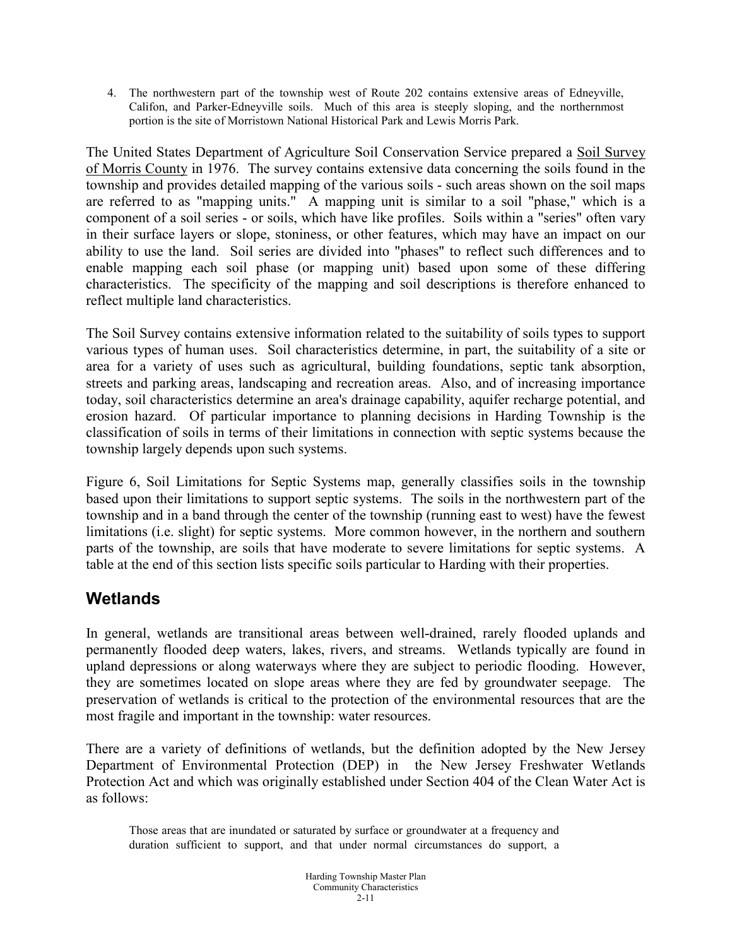4. The northwestern part of the township west of Route 202 contains extensive areas of Edneyville, Califon, and Parker-Edneyville soils. Much of this area is steeply sloping, and the northernmost portion is the site of Morristown National Historical Park and Lewis Morris Park.

The United States Department of Agriculture Soil Conservation Service prepared a Soil Survey of Morris County in 1976. The survey contains extensive data concerning the soils found in the township and provides detailed mapping of the various soils - such areas shown on the soil maps are referred to as "mapping units." A mapping unit is similar to a soil "phase," which is a component of a soil series - or soils, which have like profiles. Soils within a "series" often vary in their surface layers or slope, stoniness, or other features, which may have an impact on our ability to use the land. Soil series are divided into "phases" to reflect such differences and to enable mapping each soil phase (or mapping unit) based upon some of these differing characteristics. The specificity of the mapping and soil descriptions is therefore enhanced to reflect multiple land characteristics.

The Soil Survey contains extensive information related to the suitability of soils types to support various types of human uses. Soil characteristics determine, in part, the suitability of a site or area for a variety of uses such as agricultural, building foundations, septic tank absorption, streets and parking areas, landscaping and recreation areas. Also, and of increasing importance today, soil characteristics determine an area's drainage capability, aquifer recharge potential, and erosion hazard. Of particular importance to planning decisions in Harding Township is the classification of soils in terms of their limitations in connection with septic systems because the township largely depends upon such systems.

Figure 6, Soil Limitations for Septic Systems map, generally classifies soils in the township based upon their limitations to support septic systems. The soils in the northwestern part of the township and in a band through the center of the township (running east to west) have the fewest limitations (i.e. slight) for septic systems. More common however, in the northern and southern parts of the township, are soils that have moderate to severe limitations for septic systems. A table at the end of this section lists specific soils particular to Harding with their properties.

### **Wetlands**

In general, wetlands are transitional areas between well-drained, rarely flooded uplands and permanently flooded deep waters, lakes, rivers, and streams. Wetlands typically are found in upland depressions or along waterways where they are subject to periodic flooding. However, they are sometimes located on slope areas where they are fed by groundwater seepage. The preservation of wetlands is critical to the protection of the environmental resources that are the most fragile and important in the township: water resources.

There are a variety of definitions of wetlands, but the definition adopted by the New Jersey Department of Environmental Protection (DEP) in the New Jersey Freshwater Wetlands Protection Act and which was originally established under Section 404 of the Clean Water Act is as follows:

Those areas that are inundated or saturated by surface or groundwater at a frequency and duration sufficient to support, and that under normal circumstances do support, a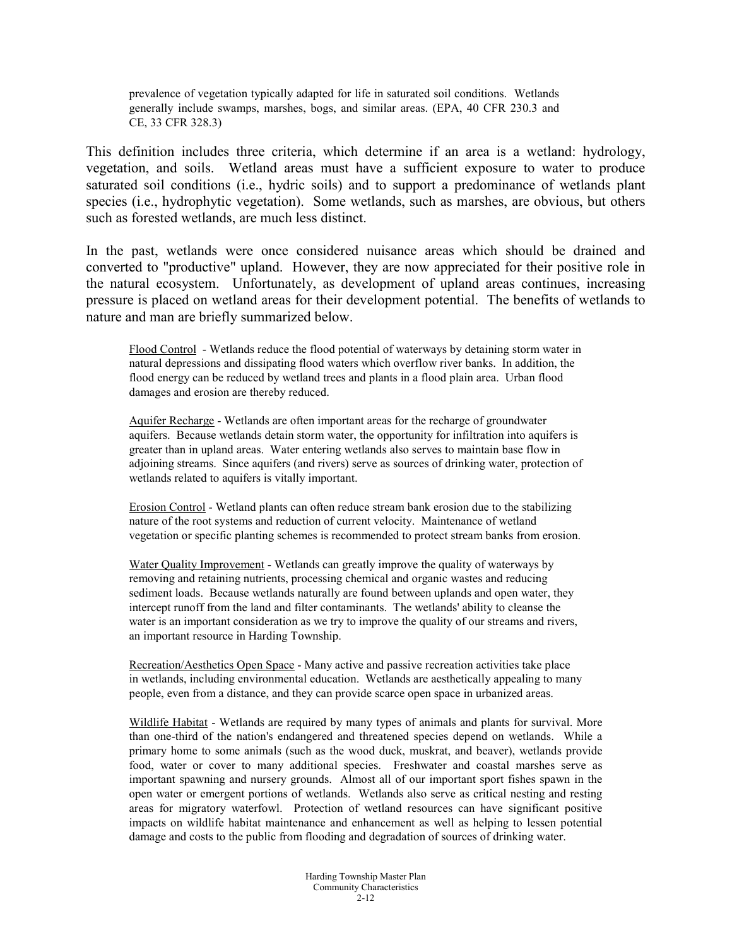prevalence of vegetation typically adapted for life in saturated soil conditions. Wetlands generally include swamps, marshes, bogs, and similar areas. (EPA, 40 CFR 230.3 and CE, 33 CFR 328.3)

This definition includes three criteria, which determine if an area is a wetland: hydrology, vegetation, and soils. Wetland areas must have a sufficient exposure to water to produce saturated soil conditions (i.e., hydric soils) and to support a predominance of wetlands plant species (i.e., hydrophytic vegetation). Some wetlands, such as marshes, are obvious, but others such as forested wetlands, are much less distinct.

In the past, wetlands were once considered nuisance areas which should be drained and converted to "productive" upland. However, they are now appreciated for their positive role in the natural ecosystem. Unfortunately, as development of upland areas continues, increasing pressure is placed on wetland areas for their development potential. The benefits of wetlands to nature and man are briefly summarized below.

Flood Control - Wetlands reduce the flood potential of waterways by detaining storm water in natural depressions and dissipating flood waters which overflow river banks. In addition, the flood energy can be reduced by wetland trees and plants in a flood plain area. Urban flood damages and erosion are thereby reduced.

Aquifer Recharge - Wetlands are often important areas for the recharge of groundwater aquifers. Because wetlands detain storm water, the opportunity for infiltration into aquifers is greater than in upland areas. Water entering wetlands also serves to maintain base flow in adjoining streams. Since aquifers (and rivers) serve as sources of drinking water, protection of wetlands related to aquifers is vitally important.

Erosion Control - Wetland plants can often reduce stream bank erosion due to the stabilizing nature of the root systems and reduction of current velocity. Maintenance of wetland vegetation or specific planting schemes is recommended to protect stream banks from erosion.

Water Quality Improvement - Wetlands can greatly improve the quality of waterways by removing and retaining nutrients, processing chemical and organic wastes and reducing sediment loads. Because wetlands naturally are found between uplands and open water, they intercept runoff from the land and filter contaminants. The wetlands' ability to cleanse the water is an important consideration as we try to improve the quality of our streams and rivers, an important resource in Harding Township.

Recreation/Aesthetics Open Space - Many active and passive recreation activities take place in wetlands, including environmental education. Wetlands are aesthetically appealing to many people, even from a distance, and they can provide scarce open space in urbanized areas.

Wildlife Habitat - Wetlands are required by many types of animals and plants for survival. More than one-third of the nation's endangered and threatened species depend on wetlands. While a primary home to some animals (such as the wood duck, muskrat, and beaver), wetlands provide food, water or cover to many additional species. Freshwater and coastal marshes serve as important spawning and nursery grounds. Almost all of our important sport fishes spawn in the open water or emergent portions of wetlands. Wetlands also serve as critical nesting and resting areas for migratory waterfowl. Protection of wetland resources can have significant positive impacts on wildlife habitat maintenance and enhancement as well as helping to lessen potential damage and costs to the public from flooding and degradation of sources of drinking water.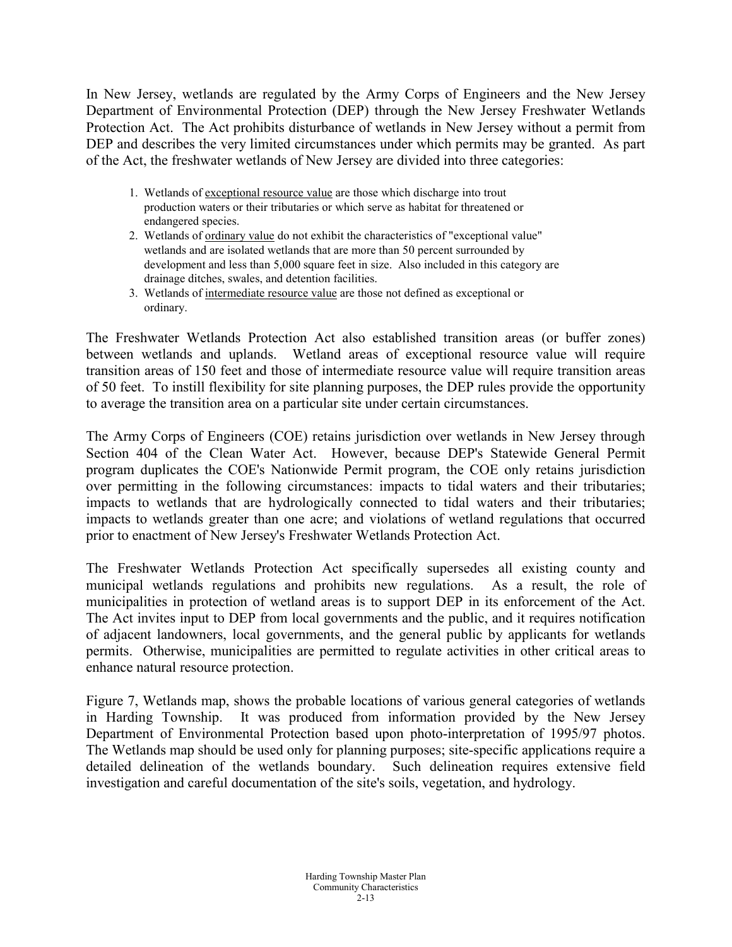In New Jersey, wetlands are regulated by the Army Corps of Engineers and the New Jersey Department of Environmental Protection (DEP) through the New Jersey Freshwater Wetlands Protection Act. The Act prohibits disturbance of wetlands in New Jersey without a permit from DEP and describes the very limited circumstances under which permits may be granted. As part of the Act, the freshwater wetlands of New Jersey are divided into three categories:

- 1. Wetlands of exceptional resource value are those which discharge into trout production waters or their tributaries or which serve as habitat for threatened or endangered species.
- 2. Wetlands of ordinary value do not exhibit the characteristics of "exceptional value" wetlands and are isolated wetlands that are more than 50 percent surrounded by development and less than 5,000 square feet in size. Also included in this category are drainage ditches, swales, and detention facilities.
- 3. Wetlands of intermediate resource value are those not defined as exceptional or ordinary.

The Freshwater Wetlands Protection Act also established transition areas (or buffer zones) between wetlands and uplands. Wetland areas of exceptional resource value will require transition areas of 150 feet and those of intermediate resource value will require transition areas of 50 feet. To instill flexibility for site planning purposes, the DEP rules provide the opportunity to average the transition area on a particular site under certain circumstances.

The Army Corps of Engineers (COE) retains jurisdiction over wetlands in New Jersey through Section 404 of the Clean Water Act. However, because DEP's Statewide General Permit program duplicates the COE's Nationwide Permit program, the COE only retains jurisdiction over permitting in the following circumstances: impacts to tidal waters and their tributaries; impacts to wetlands that are hydrologically connected to tidal waters and their tributaries; impacts to wetlands greater than one acre; and violations of wetland regulations that occurred prior to enactment of New Jersey's Freshwater Wetlands Protection Act.

The Freshwater Wetlands Protection Act specifically supersedes all existing county and municipal wetlands regulations and prohibits new regulations. As a result, the role of municipalities in protection of wetland areas is to support DEP in its enforcement of the Act. The Act invites input to DEP from local governments and the public, and it requires notification of adjacent landowners, local governments, and the general public by applicants for wetlands permits. Otherwise, municipalities are permitted to regulate activities in other critical areas to enhance natural resource protection.

Figure 7, Wetlands map, shows the probable locations of various general categories of wetlands in Harding Township. It was produced from information provided by the New Jersey Department of Environmental Protection based upon photo-interpretation of 1995/97 photos. The Wetlands map should be used only for planning purposes; site-specific applications require a detailed delineation of the wetlands boundary. Such delineation requires extensive field investigation and careful documentation of the site's soils, vegetation, and hydrology.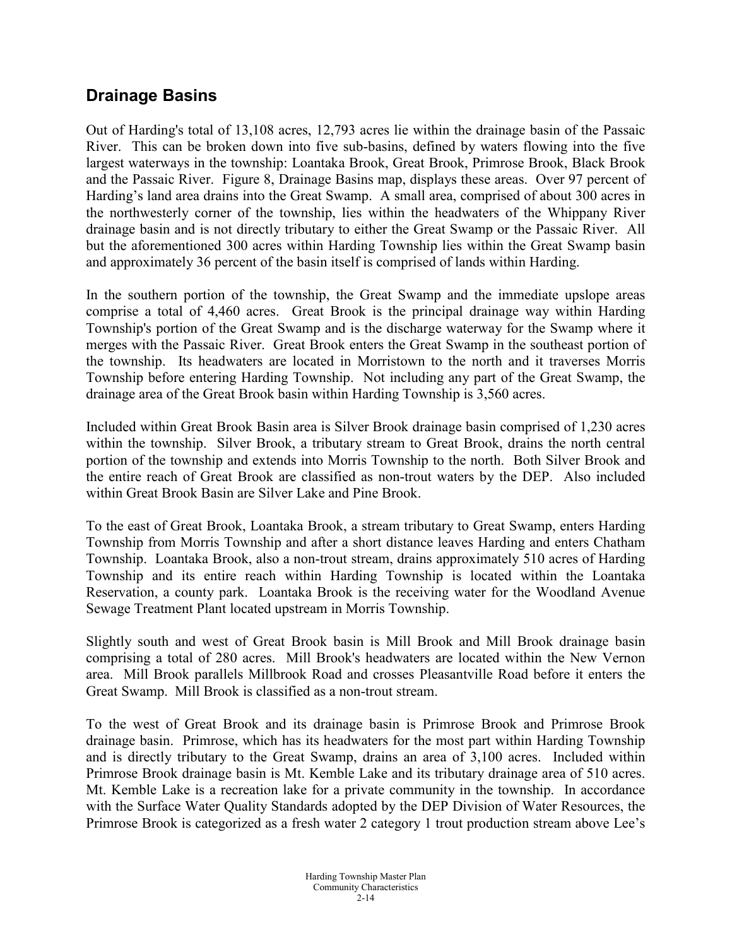### **Drainage Basins**

Out of Harding's total of 13,108 acres, 12,793 acres lie within the drainage basin of the Passaic River. This can be broken down into five sub-basins, defined by waters flowing into the five largest waterways in the township: Loantaka Brook, Great Brook, Primrose Brook, Black Brook and the Passaic River. Figure 8, Drainage Basins map, displays these areas. Over 97 percent of Harding's land area drains into the Great Swamp. A small area, comprised of about 300 acres in the northwesterly corner of the township, lies within the headwaters of the Whippany River drainage basin and is not directly tributary to either the Great Swamp or the Passaic River. All but the aforementioned 300 acres within Harding Township lies within the Great Swamp basin and approximately 36 percent of the basin itself is comprised of lands within Harding.

In the southern portion of the township, the Great Swamp and the immediate upslope areas comprise a total of 4,460 acres. Great Brook is the principal drainage way within Harding Township's portion of the Great Swamp and is the discharge waterway for the Swamp where it merges with the Passaic River. Great Brook enters the Great Swamp in the southeast portion of the township. Its headwaters are located in Morristown to the north and it traverses Morris Township before entering Harding Township. Not including any part of the Great Swamp, the drainage area of the Great Brook basin within Harding Township is 3,560 acres.

Included within Great Brook Basin area is Silver Brook drainage basin comprised of 1,230 acres within the township. Silver Brook, a tributary stream to Great Brook, drains the north central portion of the township and extends into Morris Township to the north. Both Silver Brook and the entire reach of Great Brook are classified as non-trout waters by the DEP. Also included within Great Brook Basin are Silver Lake and Pine Brook.

To the east of Great Brook, Loantaka Brook, a stream tributary to Great Swamp, enters Harding Township from Morris Township and after a short distance leaves Harding and enters Chatham Township. Loantaka Brook, also a non-trout stream, drains approximately 510 acres of Harding Township and its entire reach within Harding Township is located within the Loantaka Reservation, a county park. Loantaka Brook is the receiving water for the Woodland Avenue Sewage Treatment Plant located upstream in Morris Township.

Slightly south and west of Great Brook basin is Mill Brook and Mill Brook drainage basin comprising a total of 280 acres. Mill Brook's headwaters are located within the New Vernon area. Mill Brook parallels Millbrook Road and crosses Pleasantville Road before it enters the Great Swamp. Mill Brook is classified as a non-trout stream.

To the west of Great Brook and its drainage basin is Primrose Brook and Primrose Brook drainage basin. Primrose, which has its headwaters for the most part within Harding Township and is directly tributary to the Great Swamp, drains an area of 3,100 acres. Included within Primrose Brook drainage basin is Mt. Kemble Lake and its tributary drainage area of 510 acres. Mt. Kemble Lake is a recreation lake for a private community in the township. In accordance with the Surface Water Quality Standards adopted by the DEP Division of Water Resources, the Primrose Brook is categorized as a fresh water 2 category 1 trout production stream above Lee's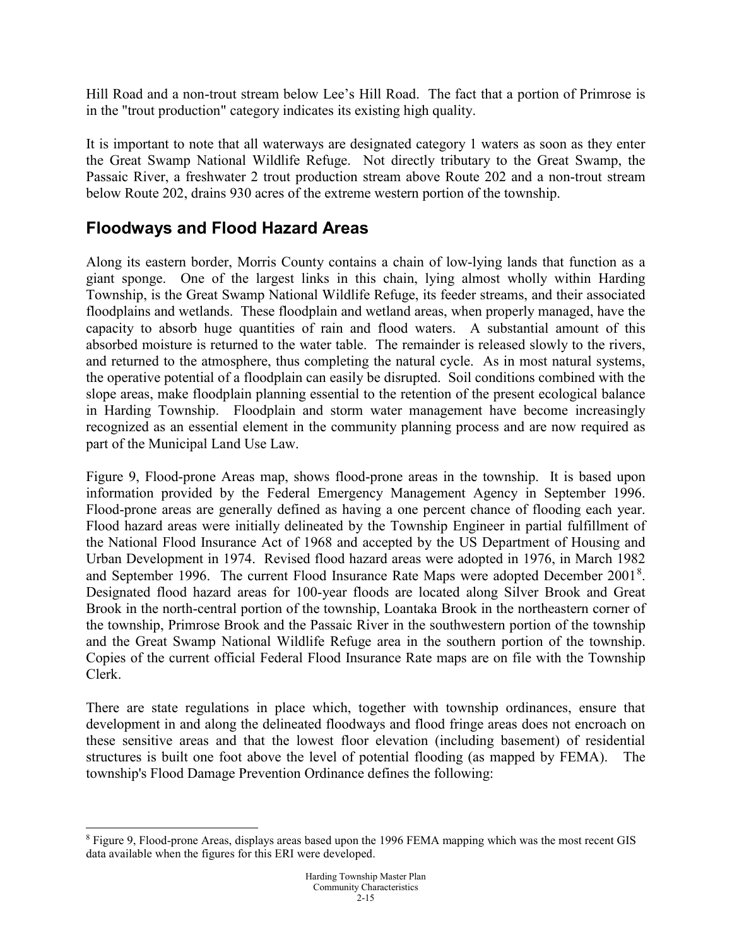Hill Road and a non-trout stream below Lee's Hill Road. The fact that a portion of Primrose is in the "trout production" category indicates its existing high quality.

It is important to note that all waterways are designated category 1 waters as soon as they enter the Great Swamp National Wildlife Refuge. Not directly tributary to the Great Swamp, the Passaic River, a freshwater 2 trout production stream above Route 202 and a non-trout stream below Route 202, drains 930 acres of the extreme western portion of the township.

### **Floodways and Flood Hazard Areas**

Along its eastern border, Morris County contains a chain of low-lying lands that function as a giant sponge. One of the largest links in this chain, lying almost wholly within Harding Township, is the Great Swamp National Wildlife Refuge, its feeder streams, and their associated floodplains and wetlands. These floodplain and wetland areas, when properly managed, have the capacity to absorb huge quantities of rain and flood waters. A substantial amount of this absorbed moisture is returned to the water table. The remainder is released slowly to the rivers, and returned to the atmosphere, thus completing the natural cycle. As in most natural systems, the operative potential of a floodplain can easily be disrupted. Soil conditions combined with the slope areas, make floodplain planning essential to the retention of the present ecological balance in Harding Township. Floodplain and storm water management have become increasingly recognized as an essential element in the community planning process and are now required as part of the Municipal Land Use Law.

Figure 9, Flood-prone Areas map, shows flood-prone areas in the township. It is based upon information provided by the Federal Emergency Management Agency in September 1996. Flood-prone areas are generally defined as having a one percent chance of flooding each year. Flood hazard areas were initially delineated by the Township Engineer in partial fulfillment of the National Flood Insurance Act of 1968 and accepted by the US Department of Housing and Urban Development in 1974. Revised flood hazard areas were adopted in 1976, in March 1982 and September 1996. The current Flood Insurance Rate Maps were adopted December 2001<sup>[8](#page-14-0)</sup>. Designated flood hazard areas for 100-year floods are located along Silver Brook and Great Brook in the north-central portion of the township, Loantaka Brook in the northeastern corner of the township, Primrose Brook and the Passaic River in the southwestern portion of the township and the Great Swamp National Wildlife Refuge area in the southern portion of the township. Copies of the current official Federal Flood Insurance Rate maps are on file with the Township Clerk.

There are state regulations in place which, together with township ordinances, ensure that development in and along the delineated floodways and flood fringe areas does not encroach on these sensitive areas and that the lowest floor elevation (including basement) of residential structures is built one foot above the level of potential flooding (as mapped by FEMA). The township's Flood Damage Prevention Ordinance defines the following:

<span id="page-14-0"></span><sup>&</sup>lt;sup>8</sup> Figure 9, Flood-prone Areas, displays areas based upon the 1996 FEMA mapping which was the most recent GIS data available when the figures for this ERI were developed.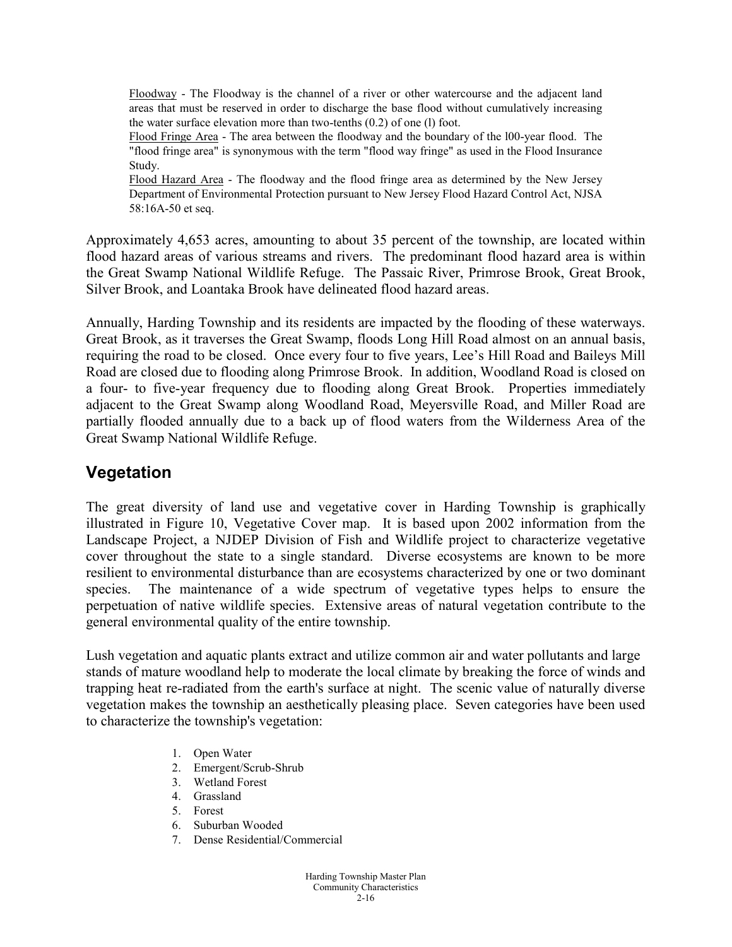Floodway - The Floodway is the channel of a river or other watercourse and the adjacent land areas that must be reserved in order to discharge the base flood without cumulatively increasing the water surface elevation more than two-tenths (0.2) of one (l) foot.

Flood Fringe Area - The area between the floodway and the boundary of the l00-year flood. The "flood fringe area" is synonymous with the term "flood way fringe" as used in the Flood Insurance Study.

Flood Hazard Area - The floodway and the flood fringe area as determined by the New Jersey Department of Environmental Protection pursuant to New Jersey Flood Hazard Control Act, NJSA 58:16A-50 et seq.

Approximately 4,653 acres, amounting to about 35 percent of the township, are located within flood hazard areas of various streams and rivers. The predominant flood hazard area is within the Great Swamp National Wildlife Refuge. The Passaic River, Primrose Brook, Great Brook, Silver Brook, and Loantaka Brook have delineated flood hazard areas.

Annually, Harding Township and its residents are impacted by the flooding of these waterways. Great Brook, as it traverses the Great Swamp, floods Long Hill Road almost on an annual basis, requiring the road to be closed. Once every four to five years, Lee's Hill Road and Baileys Mill Road are closed due to flooding along Primrose Brook. In addition, Woodland Road is closed on a four- to five-year frequency due to flooding along Great Brook. Properties immediately adjacent to the Great Swamp along Woodland Road, Meyersville Road, and Miller Road are partially flooded annually due to a back up of flood waters from the Wilderness Area of the Great Swamp National Wildlife Refuge.

### **Vegetation**

The great diversity of land use and vegetative cover in Harding Township is graphically illustrated in Figure 10, Vegetative Cover map. It is based upon 2002 information from the Landscape Project, a NJDEP Division of Fish and Wildlife project to characterize vegetative cover throughout the state to a single standard. Diverse ecosystems are known to be more resilient to environmental disturbance than are ecosystems characterized by one or two dominant species. The maintenance of a wide spectrum of vegetative types helps to ensure the perpetuation of native wildlife species. Extensive areas of natural vegetation contribute to the general environmental quality of the entire township.

Lush vegetation and aquatic plants extract and utilize common air and water pollutants and large stands of mature woodland help to moderate the local climate by breaking the force of winds and trapping heat re-radiated from the earth's surface at night. The scenic value of naturally diverse vegetation makes the township an aesthetically pleasing place. Seven categories have been used to characterize the township's vegetation:

- 1. Open Water
- 2. Emergent/Scrub-Shrub
- 3. Wetland Forest
- 4. Grassland
- 5. Forest
- 6. Suburban Wooded
- 7. Dense Residential/Commercial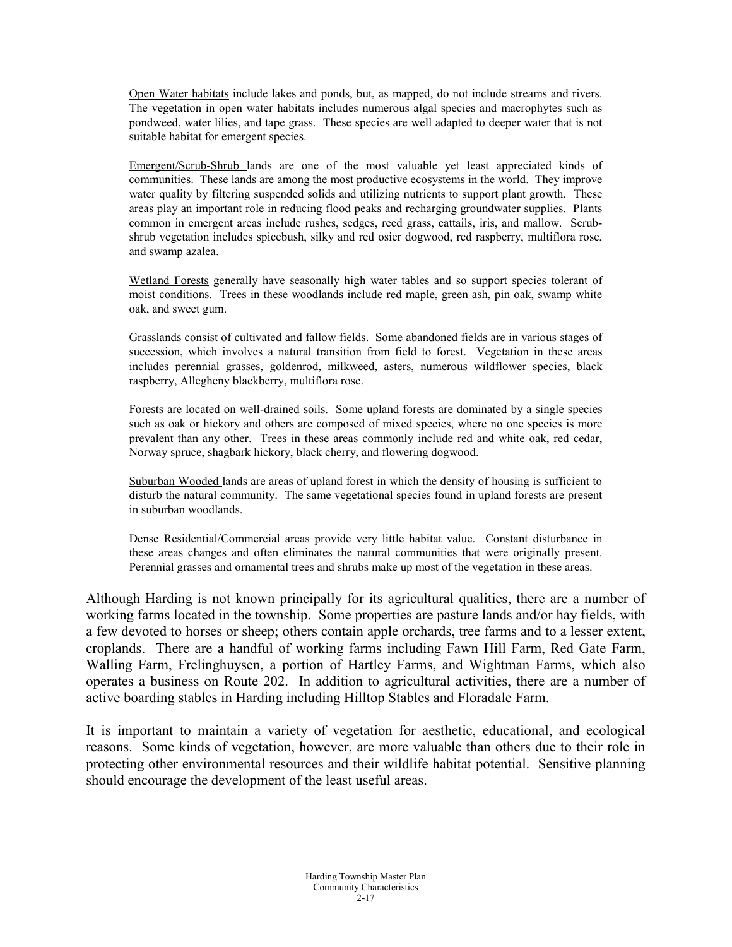Open Water habitats include lakes and ponds, but, as mapped, do not include streams and rivers. The vegetation in open water habitats includes numerous algal species and macrophytes such as pondweed, water lilies, and tape grass. These species are well adapted to deeper water that is not suitable habitat for emergent species.

Emergent/Scrub-Shrub lands are one of the most valuable yet least appreciated kinds of communities. These lands are among the most productive ecosystems in the world. They improve water quality by filtering suspended solids and utilizing nutrients to support plant growth. These areas play an important role in reducing flood peaks and recharging groundwater supplies. Plants common in emergent areas include rushes, sedges, reed grass, cattails, iris, and mallow. Scrubshrub vegetation includes spicebush, silky and red osier dogwood, red raspberry, multiflora rose, and swamp azalea.

Wetland Forests generally have seasonally high water tables and so support species tolerant of moist conditions. Trees in these woodlands include red maple, green ash, pin oak, swamp white oak, and sweet gum.

Grasslands consist of cultivated and fallow fields. Some abandoned fields are in various stages of succession, which involves a natural transition from field to forest. Vegetation in these areas includes perennial grasses, goldenrod, milkweed, asters, numerous wildflower species, black raspberry, Allegheny blackberry, multiflora rose.

Forests are located on well-drained soils. Some upland forests are dominated by a single species such as oak or hickory and others are composed of mixed species, where no one species is more prevalent than any other. Trees in these areas commonly include red and white oak, red cedar, Norway spruce, shagbark hickory, black cherry, and flowering dogwood.

Suburban Wooded lands are areas of upland forest in which the density of housing is sufficient to disturb the natural community. The same vegetational species found in upland forests are present in suburban woodlands.

Dense Residential/Commercial areas provide very little habitat value. Constant disturbance in these areas changes and often eliminates the natural communities that were originally present. Perennial grasses and ornamental trees and shrubs make up most of the vegetation in these areas.

Although Harding is not known principally for its agricultural qualities, there are a number of working farms located in the township. Some properties are pasture lands and/or hay fields, with a few devoted to horses or sheep; others contain apple orchards, tree farms and to a lesser extent, croplands. There are a handful of working farms including Fawn Hill Farm, Red Gate Farm, Walling Farm, Frelinghuysen, a portion of Hartley Farms, and Wightman Farms, which also operates a business on Route 202. In addition to agricultural activities, there are a number of active boarding stables in Harding including Hilltop Stables and Floradale Farm.

It is important to maintain a variety of vegetation for aesthetic, educational, and ecological reasons. Some kinds of vegetation, however, are more valuable than others due to their role in protecting other environmental resources and their wildlife habitat potential. Sensitive planning should encourage the development of the least useful areas.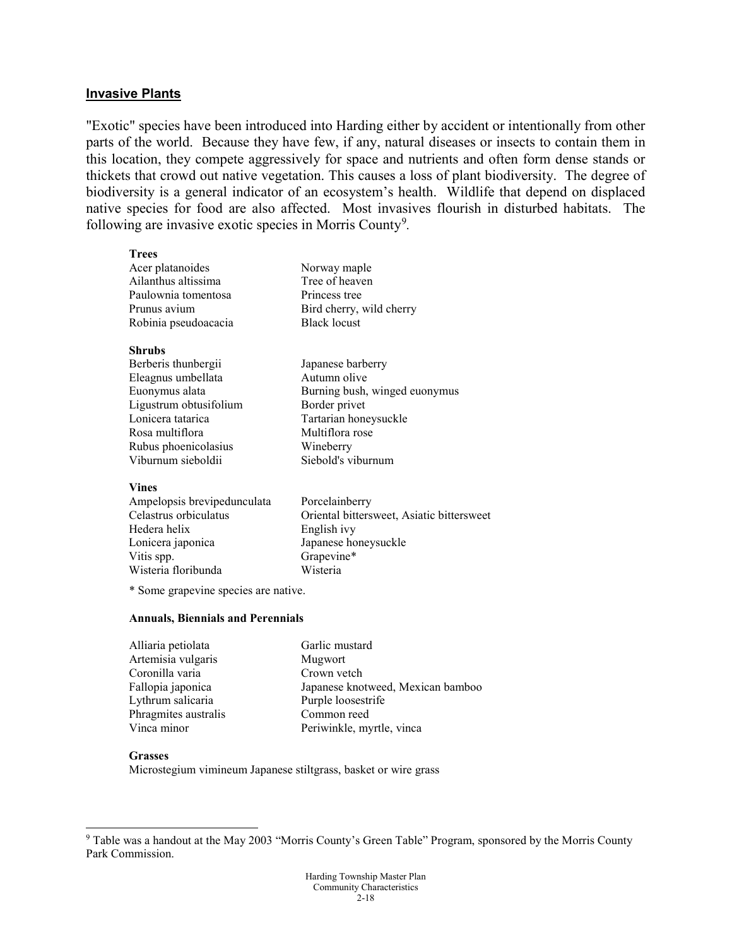#### **Invasive Plants**

"Exotic" species have been introduced into Harding either by accident or intentionally from other parts of the world. Because they have few, if any, natural diseases or insects to contain them in this location, they compete aggressively for space and nutrients and often form dense stands or thickets that crowd out native vegetation. This causes a loss of plant biodiversity. The degree of biodiversity is a general indicator of an ecosystem's health. Wildlife that depend on displaced native species for food are also affected. Most invasives flourish in disturbed habitats. The following are invasive exotic species in Morris County<sup>[9](#page-17-0)</sup>.

> Japanese barberry Autumn olive

Tartarian honeysuckle Multiflora rose Wineberry

Siebold's viburnum

Border privet

Burning bush, winged euonymus

| <b>Trees</b>         |                          |
|----------------------|--------------------------|
| Acer platanoides     | Norway maple             |
| Ailanthus altissima  | Tree of heaven           |
| Paulownia tomentosa  | Princess tree            |
| Prunus avium         | Bird cherry, wild cherry |
| Robinia pseudoacacia | <b>Black locust</b>      |
|                      |                          |

#### **Shrubs**

| Berberis thunbergii    |
|------------------------|
| Eleagnus umbellata     |
| Euonymus alata         |
| Ligustrum obtusifolium |
| Lonicera tatarica      |
| Rosa multiflora        |
| Rubus phoenicolasius   |
| Viburnum sieboldii     |

#### **Vines**

| Porcelainberry                            |
|-------------------------------------------|
| Oriental bittersweet, Asiatic bittersweet |
| English ivy                               |
| Japanese honeysuckle                      |
| Grapevine*                                |
| Wisteria                                  |
|                                           |

\* Some grapevine species are native.

#### **Annuals, Biennials and Perennials**

| Alliaria petiolata   | Garlic mustard                    |
|----------------------|-----------------------------------|
| Artemisia vulgaris   | Mugwort                           |
| Coronilla varia      | Crown vetch                       |
| Fallopia japonica    | Japanese knotweed, Mexican bamboo |
| Lythrum salicaria    | Purple loosestrife                |
| Phragmites australis | Common reed                       |
| Vinca minor          | Periwinkle, myrtle, vinca         |
|                      |                                   |

#### **Grasses**

Microstegium vimineum Japanese stiltgrass, basket or wire grass

<span id="page-17-0"></span> <sup>9</sup> Table was a handout at the May 2003 "Morris County's Green Table" Program, sponsored by the Morris County Park Commission.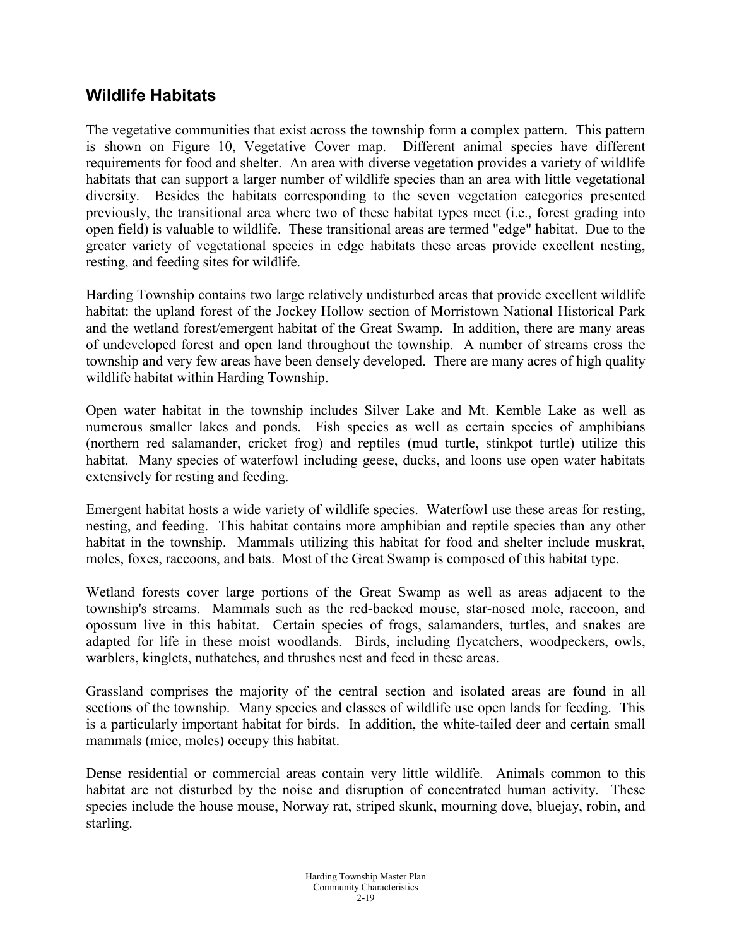### **Wildlife Habitats**

The vegetative communities that exist across the township form a complex pattern. This pattern is shown on Figure 10, Vegetative Cover map. Different animal species have different requirements for food and shelter. An area with diverse vegetation provides a variety of wildlife habitats that can support a larger number of wildlife species than an area with little vegetational diversity. Besides the habitats corresponding to the seven vegetation categories presented previously, the transitional area where two of these habitat types meet (i.e., forest grading into open field) is valuable to wildlife. These transitional areas are termed "edge" habitat. Due to the greater variety of vegetational species in edge habitats these areas provide excellent nesting, resting, and feeding sites for wildlife.

Harding Township contains two large relatively undisturbed areas that provide excellent wildlife habitat: the upland forest of the Jockey Hollow section of Morristown National Historical Park and the wetland forest/emergent habitat of the Great Swamp. In addition, there are many areas of undeveloped forest and open land throughout the township. A number of streams cross the township and very few areas have been densely developed. There are many acres of high quality wildlife habitat within Harding Township.

Open water habitat in the township includes Silver Lake and Mt. Kemble Lake as well as numerous smaller lakes and ponds. Fish species as well as certain species of amphibians (northern red salamander, cricket frog) and reptiles (mud turtle, stinkpot turtle) utilize this habitat. Many species of waterfowl including geese, ducks, and loons use open water habitats extensively for resting and feeding.

Emergent habitat hosts a wide variety of wildlife species. Waterfowl use these areas for resting, nesting, and feeding. This habitat contains more amphibian and reptile species than any other habitat in the township. Mammals utilizing this habitat for food and shelter include muskrat, moles, foxes, raccoons, and bats. Most of the Great Swamp is composed of this habitat type.

Wetland forests cover large portions of the Great Swamp as well as areas adjacent to the township's streams. Mammals such as the red-backed mouse, star-nosed mole, raccoon, and opossum live in this habitat. Certain species of frogs, salamanders, turtles, and snakes are adapted for life in these moist woodlands. Birds, including flycatchers, woodpeckers, owls, warblers, kinglets, nuthatches, and thrushes nest and feed in these areas.

Grassland comprises the majority of the central section and isolated areas are found in all sections of the township. Many species and classes of wildlife use open lands for feeding. This is a particularly important habitat for birds. In addition, the white-tailed deer and certain small mammals (mice, moles) occupy this habitat.

Dense residential or commercial areas contain very little wildlife. Animals common to this habitat are not disturbed by the noise and disruption of concentrated human activity. These species include the house mouse, Norway rat, striped skunk, mourning dove, bluejay, robin, and starling.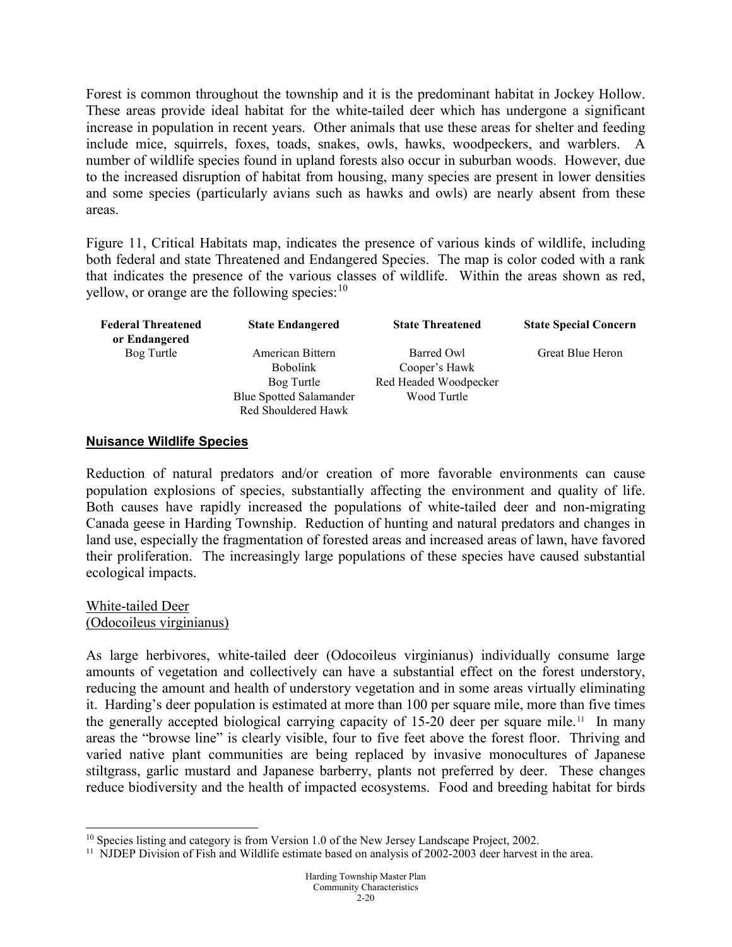Forest is common throughout the township and it is the predominant habitat in Jockey Hollow. These areas provide ideal habitat for the white-tailed deer which has undergone a significant increase in population in recent years. Other animals that use these areas for shelter and feeding include mice, squirrels, foxes, toads, snakes, owls, hawks, woodpeckers, and warblers. A number of wildlife species found in upland forests also occur in suburban woods. However, due to the increased disruption of habitat from housing, many species are present in lower densities and some species (particularly avians such as hawks and owls) are nearly absent from these areas.

Figure 11, Critical Habitats map, indicates the presence of various kinds of wildlife, including both federal and state Threatened and Endangered Species. The map is color coded with a rank that indicates the presence of the various classes of wildlife. Within the areas shown as red, yellow, or orange are the following species:  $10$ 

| <b>Federal Threatened</b> | <b>State Endangered</b>        | <b>State Threatened</b> | <b>State Special Concern</b> |
|---------------------------|--------------------------------|-------------------------|------------------------------|
| or Endangered             |                                |                         |                              |
| Bog Turtle                | American Bittern               | Barred Owl              | Great Blue Heron             |
|                           | <b>Bobolink</b>                | Cooper's Hawk           |                              |
|                           | Bog Turtle                     | Red Headed Woodpecker   |                              |
|                           | <b>Blue Spotted Salamander</b> | Wood Turtle             |                              |
|                           | Red Shouldered Hawk            |                         |                              |

#### **Nuisance Wildlife Species**

Reduction of natural predators and/or creation of more favorable environments can cause population explosions of species, substantially affecting the environment and quality of life. Both causes have rapidly increased the populations of white-tailed deer and non-migrating Canada geese in Harding Township. Reduction of hunting and natural predators and changes in land use, especially the fragmentation of forested areas and increased areas of lawn, have favored their proliferation. The increasingly large populations of these species have caused substantial ecological impacts.

#### White-tailed Deer (Odocoileus virginianus)

As large herbivores, white-tailed deer (Odocoileus virginianus) individually consume large amounts of vegetation and collectively can have a substantial effect on the forest understory, reducing the amount and health of understory vegetation and in some areas virtually eliminating it. Harding's deer population is estimated at more than 100 per square mile, more than five times the generally accepted biological carrying capacity of  $15-20$  deer per square mile.<sup>[11](#page-19-1)</sup> In many areas the "browse line" is clearly visible, four to five feet above the forest floor. Thriving and varied native plant communities are being replaced by invasive monocultures of Japanese stiltgrass, garlic mustard and Japanese barberry, plants not preferred by deer. These changes reduce biodiversity and the health of impacted ecosystems. Food and breeding habitat for birds

<span id="page-19-0"></span> $10$  Species listing and category is from Version 1.0 of the New Jersey Landscape Project, 2002.

<span id="page-19-1"></span> $11$  NJDEP Division of Fish and Wildlife estimate based on analysis of 2002-2003 deer harvest in the area.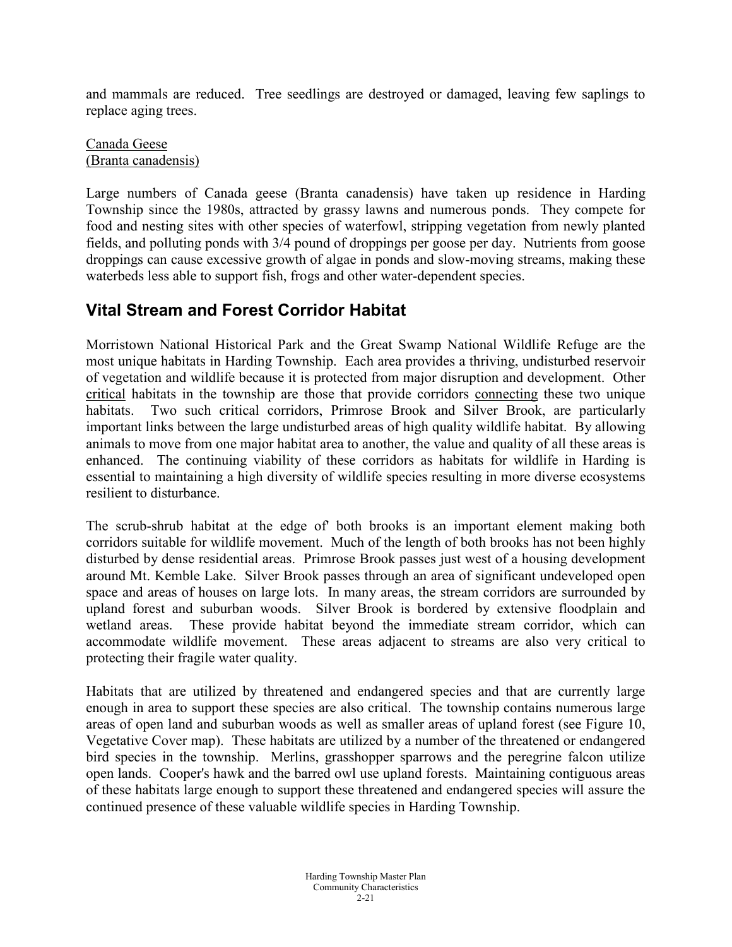and mammals are reduced. Tree seedlings are destroyed or damaged, leaving few saplings to replace aging trees.

Canada Geese (Branta canadensis)

Large numbers of Canada geese (Branta canadensis) have taken up residence in Harding Township since the 1980s, attracted by grassy lawns and numerous ponds. They compete for food and nesting sites with other species of waterfowl, stripping vegetation from newly planted fields, and polluting ponds with 3/4 pound of droppings per goose per day. Nutrients from goose droppings can cause excessive growth of algae in ponds and slow-moving streams, making these waterbeds less able to support fish, frogs and other water-dependent species.

# **Vital Stream and Forest Corridor Habitat**

Morristown National Historical Park and the Great Swamp National Wildlife Refuge are the most unique habitats in Harding Township. Each area provides a thriving, undisturbed reservoir of vegetation and wildlife because it is protected from major disruption and development. Other critical habitats in the township are those that provide corridors connecting these two unique habitats. Two such critical corridors, Primrose Brook and Silver Brook, are particularly important links between the large undisturbed areas of high quality wildlife habitat. By allowing animals to move from one major habitat area to another, the value and quality of all these areas is enhanced. The continuing viability of these corridors as habitats for wildlife in Harding is essential to maintaining a high diversity of wildlife species resulting in more diverse ecosystems resilient to disturbance.

The scrub-shrub habitat at the edge of' both brooks is an important element making both corridors suitable for wildlife movement. Much of the length of both brooks has not been highly disturbed by dense residential areas. Primrose Brook passes just west of a housing development around Mt. Kemble Lake. Silver Brook passes through an area of significant undeveloped open space and areas of houses on large lots. In many areas, the stream corridors are surrounded by upland forest and suburban woods. Silver Brook is bordered by extensive floodplain and wetland areas. These provide habitat beyond the immediate stream corridor, which can accommodate wildlife movement. These areas adjacent to streams are also very critical to protecting their fragile water quality.

Habitats that are utilized by threatened and endangered species and that are currently large enough in area to support these species are also critical. The township contains numerous large areas of open land and suburban woods as well as smaller areas of upland forest (see Figure 10, Vegetative Cover map). These habitats are utilized by a number of the threatened or endangered bird species in the township. Merlins, grasshopper sparrows and the peregrine falcon utilize open lands. Cooper's hawk and the barred owl use upland forests. Maintaining contiguous areas of these habitats large enough to support these threatened and endangered species will assure the continued presence of these valuable wildlife species in Harding Township.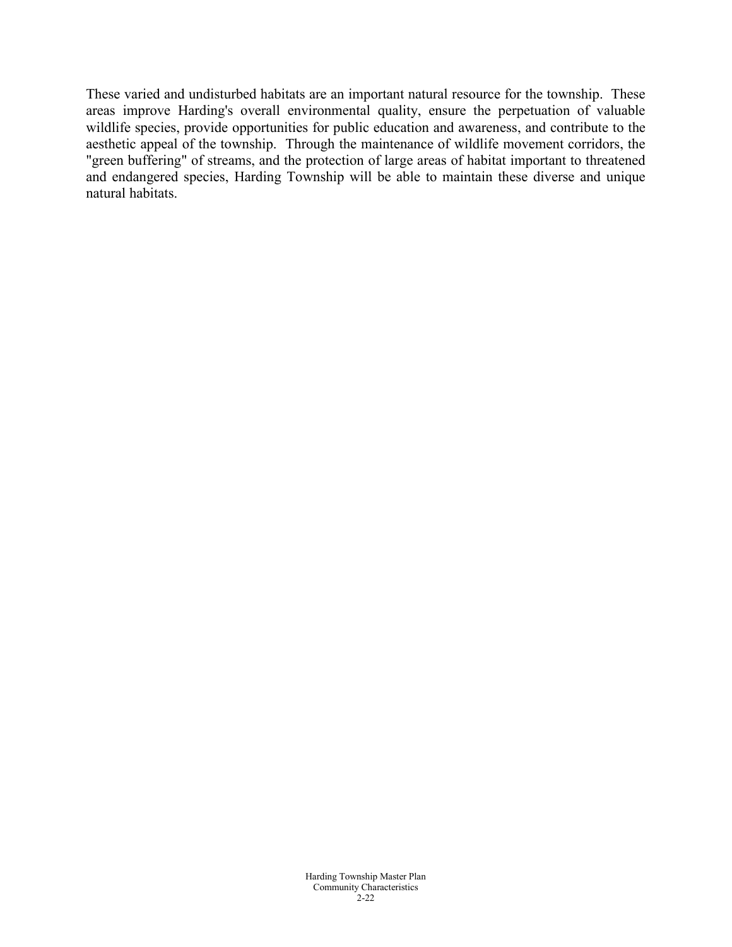These varied and undisturbed habitats are an important natural resource for the township. These areas improve Harding's overall environmental quality, ensure the perpetuation of valuable wildlife species, provide opportunities for public education and awareness, and contribute to the aesthetic appeal of the township. Through the maintenance of wildlife movement corridors, the "green buffering" of streams, and the protection of large areas of habitat important to threatened and endangered species, Harding Township will be able to maintain these diverse and unique natural habitats.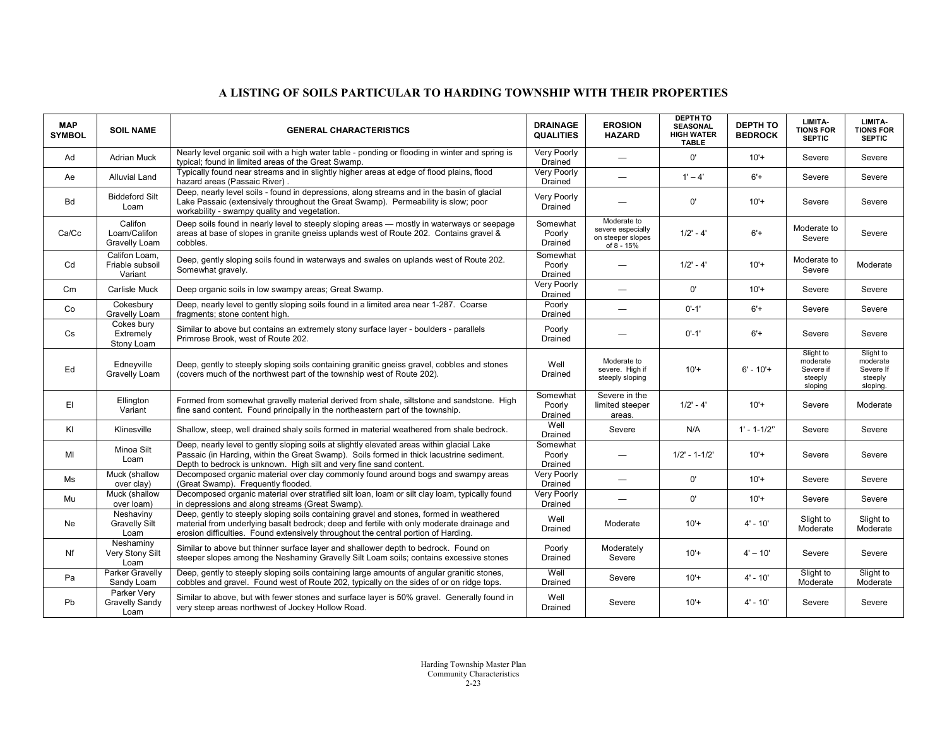#### **A LISTING OF SOILS PARTICULAR TO HARDING TOWNSHIP WITH THEIR PROPERTIES**

| <b>MAP</b><br><b>SYMBOL</b> | <b>SOIL NAME</b>                            | <b>GENERAL CHARACTERISTICS</b>                                                                                                                                                                                                                                             | <b>DRAINAGE</b><br><b>QUALITIES</b> | <b>EROSION</b><br><b>HAZARD</b>                                     | <b>DEPTH TO</b><br><b>SEASONAL</b><br><b>HIGH WATER</b><br><b>TABLE</b> | <b>DEPTH TO</b><br><b>BEDROCK</b> | LIMITA-<br><b>TIONS FOR</b><br><b>SEPTIC</b>             | LIMITA-<br><b>TIONS FOR</b><br><b>SEPTIC</b>              |
|-----------------------------|---------------------------------------------|----------------------------------------------------------------------------------------------------------------------------------------------------------------------------------------------------------------------------------------------------------------------------|-------------------------------------|---------------------------------------------------------------------|-------------------------------------------------------------------------|-----------------------------------|----------------------------------------------------------|-----------------------------------------------------------|
| Ad                          | <b>Adrian Muck</b>                          | Nearly level organic soil with a high water table - ponding or flooding in winter and spring is<br>typical; found in limited areas of the Great Swamp.                                                                                                                     | Very Poorly<br>Drained              |                                                                     | $0^{\prime}$                                                            | $10'+$                            | Severe                                                   | Severe                                                    |
| Ae                          | Alluvial Land                               | Typically found near streams and in slightly higher areas at edge of flood plains, flood<br>hazard areas (Passaic River)                                                                                                                                                   | Very Poorly<br>Drained              |                                                                     | $1' - 4'$                                                               | $6'+$                             | Severe                                                   | Severe                                                    |
| <b>Bd</b>                   | <b>Biddeford Silt</b><br>Loam               | Deep, nearly level soils - found in depressions, along streams and in the basin of glacial<br>Lake Passaic (extensively throughout the Great Swamp). Permeability is slow; poor<br>workability - swampy quality and vegetation.                                            | Very Poorly<br>Drained              |                                                                     | 0'                                                                      | $10'+$                            | Severe                                                   | Severe                                                    |
| Ca/Cc                       | Califon<br>Loam/Califon<br>Gravelly Loam    | Deep soils found in nearly level to steeply sloping areas - mostly in waterways or seepage<br>areas at base of slopes in granite gneiss uplands west of Route 202. Contains gravel &<br>cobbles.                                                                           | Somewhat<br>Poorly<br>Drained       | Moderate to<br>severe especially<br>on steeper slopes<br>of 8 - 15% | $1/2' - 4'$                                                             | $6'+$                             | Moderate to<br>Severe                                    | Severe                                                    |
| Cd                          | Califon Loam.<br>Friable subsoil<br>Variant | Deep, gently sloping soils found in waterways and swales on uplands west of Route 202.<br>Somewhat gravely.                                                                                                                                                                | Somewhat<br>Poorly<br>Drained       |                                                                     | $1/2' - 4'$                                                             | $10'+$                            | Moderate to<br>Severe                                    | Moderate                                                  |
| Cm                          | Carlisle Muck                               | Deep organic soils in low swampy areas; Great Swamp.                                                                                                                                                                                                                       | Very Poorly<br>Drained              |                                                                     | $0^{\prime}$                                                            | $10'+$                            | Severe                                                   | Severe                                                    |
| Co                          | Cokesbury<br>Gravelly Loam                  | Deep, nearly level to gently sloping soils found in a limited area near 1-287. Coarse<br>fragments; stone content high.                                                                                                                                                    | Poorly<br>Drained                   | $\overline{\phantom{0}}$                                            | $0' - 1'$                                                               | $6'+$                             | Severe                                                   | Severe                                                    |
| Cs                          | Cokes bury<br>Extremely<br>Stony Loam       | Similar to above but contains an extremely stony surface layer - boulders - parallels<br>Primrose Brook, west of Route 202.                                                                                                                                                | Poorly<br>Drained                   |                                                                     | $0' - 1'$                                                               | $6'+$                             | Severe                                                   | Severe                                                    |
| Ed                          | Edneyville<br>Gravelly Loam                 | Deep, gently to steeply sloping soils containing granitic gneiss gravel, cobbles and stones<br>(covers much of the northwest part of the township west of Route 202).                                                                                                      | Well<br>Drained                     | Moderate to<br>severe. High if<br>steeply sloping                   | $10'+$                                                                  | $6' - 10' +$                      | Slight to<br>moderate<br>Severe if<br>steeply<br>sloping | Slight to<br>moderate<br>Severe If<br>steeply<br>sloping. |
| EI.                         | Ellington<br>Variant                        | Formed from somewhat gravelly material derived from shale, siltstone and sandstone. High<br>fine sand content. Found principally in the northeastern part of the township.                                                                                                 | Somewhat<br>Poorly<br>Drained       | Severe in the<br>limited steeper<br>areas.                          | $1/2' - 4'$                                                             | $10'+$                            | Severe                                                   | Moderate                                                  |
| KI                          | Klinesville                                 | Shallow, steep, well drained shaly soils formed in material weathered from shale bedrock.                                                                                                                                                                                  | Well<br>Drained                     | Severe                                                              | N/A                                                                     | $1' - 1 - 1/2''$                  | Severe                                                   | Severe                                                    |
| MI                          | Minoa Silt<br>Loam                          | Deep, nearly level to gently sloping soils at slightly elevated areas within glacial Lake<br>Passaic (in Harding, within the Great Swamp). Soils formed in thick lacustrine sediment.<br>Depth to bedrock is unknown. High silt and very fine sand content.                | Somewhat<br>Poorly<br>Drained       |                                                                     | $1/2' - 1 - 1/2'$                                                       | $10'+$                            | Severe                                                   | Severe                                                    |
| Ms                          | Muck (shallow<br>over clay)                 | Decomposed organic material over clay commonly found around bogs and swampy areas<br>(Great Swamp). Frequently flooded.                                                                                                                                                    | Very Poorly<br>Drained              |                                                                     | $0^{\prime}$                                                            | $10'+$                            | Severe                                                   | Severe                                                    |
| Mu                          | Muck (shallow<br>over loam)                 | Decomposed organic material over stratified silt loan, loam or silt clay loam, typically found<br>in depressions and along streams (Great Swamp).                                                                                                                          | <b>Very Poorly</b><br>Drained       |                                                                     | $0^{\prime}$                                                            | $10'+$                            | Severe                                                   | Severe                                                    |
| Ne                          | Neshaviny<br><b>Gravelly Silt</b><br>Loam   | Deep, gently to steeply sloping soils containing gravel and stones, formed in weathered<br>material from underlying basalt bedrock; deep and fertile with only moderate drainage and<br>erosion difficulties. Found extensively throughout the central portion of Harding. | Well<br>Drained                     | Moderate                                                            | $10'+$                                                                  | $4' - 10'$                        | Slight to<br>Moderate                                    | Slight to<br>Moderate                                     |
| Nf                          | Neshaminy<br>Very Stony Silt<br>Loam        | Similar to above but thinner surface layer and shallower depth to bedrock. Found on<br>steeper slopes among the Neshaminy Gravelly Silt Loam soils; contains excessive stones                                                                                              | Poorly<br>Drained                   | Moderately<br>Severe                                                | $10'+$                                                                  | $4' - 10'$                        | Severe                                                   | Severe                                                    |
| Pa                          | Parker Gravelly<br>Sandy Loam               | Deep, gently to steeply sloping soils containing large amounts of angular granitic stones,<br>cobbles and gravel. Found west of Route 202, typically on the sides of or on ridge tops.                                                                                     | Well<br>Drained                     | Severe                                                              | $10'+$                                                                  | $4' - 10'$                        | Slight to<br>Moderate                                    | Slight to<br>Moderate                                     |
| Pb                          | Parker Very<br>Gravelly Sandy<br>Loam       | Similar to above, but with fewer stones and surface layer is 50% gravel. Generally found in<br>very steep areas northwest of Jockey Hollow Road.                                                                                                                           | Well<br>Drained                     | Severe                                                              | $10'+$                                                                  | $4' - 10'$                        | Severe                                                   | Severe                                                    |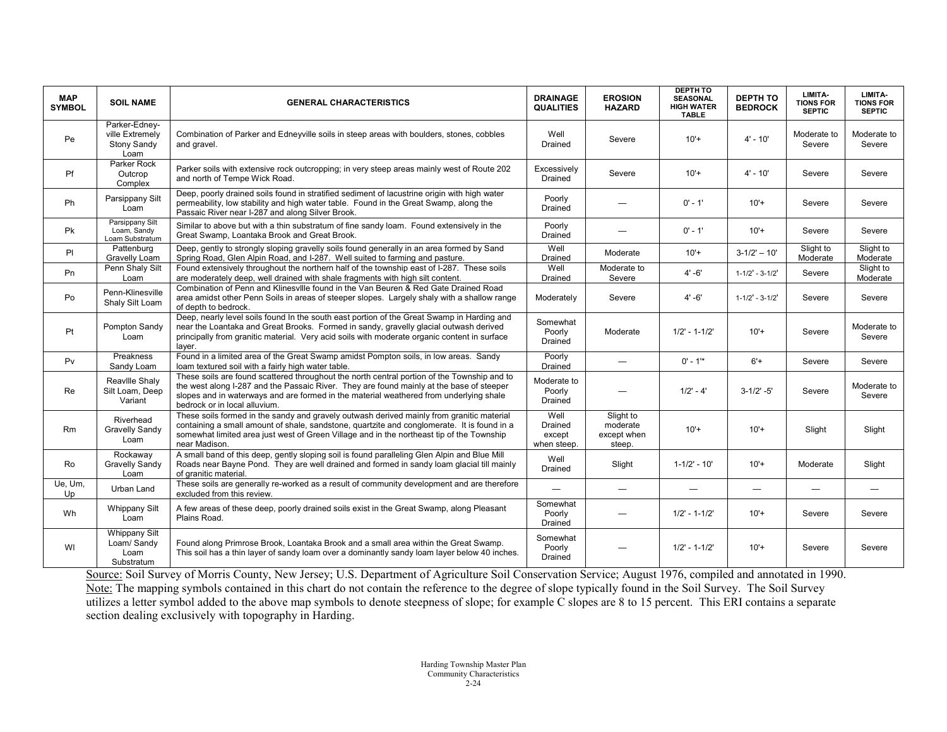| <b>MAP</b><br><b>SYMBOL</b> | <b>SOIL NAME</b>                                         | <b>GENERAL CHARACTERISTICS</b>                                                                                                                                                                                                                                                                                     | <b>DRAINAGE</b><br><b>QUALITIES</b>      | <b>EROSION</b><br><b>HAZARD</b>                | <b>DEPTH TO</b><br><b>SEASONAL</b><br><b>HIGH WATER</b><br><b>TABLE</b> | <b>DEPTH TO</b><br><b>BEDROCK</b> | LIMITA-<br><b>TIONS FOR</b><br><b>SEPTIC</b> | LIMITA-<br><b>TIONS FOR</b><br><b>SEPTIC</b> |
|-----------------------------|----------------------------------------------------------|--------------------------------------------------------------------------------------------------------------------------------------------------------------------------------------------------------------------------------------------------------------------------------------------------------------------|------------------------------------------|------------------------------------------------|-------------------------------------------------------------------------|-----------------------------------|----------------------------------------------|----------------------------------------------|
| Pe                          | Parker-Ednev-<br>ville Extremely<br>Stony Sandy<br>Loam  | Combination of Parker and Edneyville soils in steep areas with boulders, stones, cobbles<br>and gravel.                                                                                                                                                                                                            | Well<br>Drained                          | Severe                                         | $10'+$                                                                  | $4' - 10'$                        | Moderate to<br>Severe                        | Moderate to<br>Severe                        |
| Pf                          | Parker Rock<br>Outcrop<br>Complex                        | Parker soils with extensive rock outcropping; in very steep areas mainly west of Route 202<br>and north of Tempe Wick Road.                                                                                                                                                                                        | Excessively<br>Drained                   | Severe                                         | $10'+$                                                                  | $4' - 10'$                        | Severe                                       | Severe                                       |
| Ph                          | Parsippany Silt<br>Loam                                  | Deep, poorly drained soils found in stratified sediment of lacustrine origin with high water<br>permeability, low stability and high water table. Found in the Great Swamp, along the<br>Passaic River near I-287 and along Silver Brook.                                                                          | Poorly<br>Drained                        |                                                | $0' - 1'$                                                               | $10'+$                            | Severe                                       | Severe                                       |
| Pk                          | Parsippany Silt<br>Loam, Sandy<br>Loam Substratum        | Similar to above but with a thin substratum of fine sandy loam. Found extensively in the<br>Great Swamp, Loantaka Brook and Great Brook.                                                                                                                                                                           | Poorly<br>Drained                        | -                                              | $0' - 1'$                                                               | $10'+$                            | Severe                                       | Severe                                       |
| PI                          | Pattenburg<br>Gravelly Loam                              | Deep, gently to strongly sloping gravelly soils found generally in an area formed by Sand<br>Spring Road, Glen Alpin Road, and I-287. Well suited to farming and pasture.                                                                                                                                          | Well<br>Drained                          | Moderate                                       | $10'+$                                                                  | $3 - 1/2' - 10'$                  | Slight to<br>Moderate                        | Slight to<br>Moderate                        |
| Pn                          | Penn Shaly Silt<br>Loam                                  | Found extensively throughout the northern half of the township east of I-287. These soils<br>are moderately deep, well drained with shale fragments with high silt content.                                                                                                                                        | Well<br>Drained                          | Moderate to<br>Severe                          | $4' - 6'$                                                               | $1 - 1/2' - 3 - 1/2'$             | Severe                                       | Slight to<br>Moderate                        |
| Po                          | Penn-Klinesville<br>Shaly Silt Loam                      | Combination of Penn and Klinesville found in the Van Beuren & Red Gate Drained Road<br>area amidst other Penn Soils in areas of steeper slopes. Largely shaly with a shallow range<br>of depth to bedrock.                                                                                                         | Moderately                               | Severe                                         | $4' - 6'$                                                               | $1 - 1/2' - 3 - 1/2'$             | Severe                                       | Severe                                       |
| Pt                          | Pompton Sandy<br>Loam                                    | Deep, nearly level soils found In the south east portion of the Great Swamp in Harding and<br>near the Loantaka and Great Brooks. Formed in sandy, gravelly glacial outwash derived<br>principally from granitic material. Very acid soils with moderate organic content in surface<br>laver.                      | Somewhat<br>Poorly<br>Drained            | Moderate                                       | $1/2' - 1 - 1/2'$                                                       | $10'+$                            | Severe                                       | Moderate to<br>Severe                        |
| Pv                          | Preakness<br>Sandy Loam                                  | Found in a limited area of the Great Swamp amidst Pompton soils, in low areas. Sandy<br>loam textured soil with a fairly high water table.                                                                                                                                                                         | Poorly<br>Drained                        | $\overline{\phantom{0}}$                       | $0' - 1'$ *                                                             | $6'+$                             | Severe                                       | Severe                                       |
| Re                          | Reaville Shaly<br>Silt Loam, Deep<br>Variant             | These soils are found scattered throughout the north central portion of the Township and to<br>the west along I-287 and the Passaic River. They are found mainly at the base of steeper<br>slopes and in waterways and are formed in the material weathered from underlying shale<br>bedrock or in local alluvium. | Moderate to<br>Poorly<br>Drained         | -                                              | $1/2' - 4'$                                                             | $3 - 1/2' - 5'$                   | Severe                                       | Moderate to<br>Severe                        |
| Rm                          | Riverhead<br>Gravelly Sandy<br>Loam                      | These soils formed in the sandy and gravely outwash derived mainly from granitic material<br>containing a small amount of shale, sandstone, quartzite and conglomerate. It is found in a<br>somewhat limited area just west of Green Village and in the northeast tip of the Township<br>near Madison.             | Well<br>Drained<br>except<br>when steep. | Slight to<br>moderate<br>except when<br>steep. | $10'+$                                                                  | $10'+$                            | Slight                                       | Slight                                       |
| Ro                          | Rockaway<br>Gravelly Sandy<br>Loam                       | A small band of this deep, gently sloping soil is found paralleling Glen Alpin and Blue Mill<br>Roads near Bayne Pond. They are well drained and formed in sandy loam glacial till mainly<br>of granitic material.                                                                                                 | Well<br>Drained                          | Slight                                         | $1 - 1/2' - 10'$                                                        | $10'+$                            | Moderate                                     | Slight                                       |
| Ue, Um,<br>Up               | Urban Land                                               | These soils are generally re-worked as a result of community development and are therefore<br>excluded from this review.                                                                                                                                                                                           |                                          | $\overline{\phantom{0}}$                       |                                                                         |                                   | $\overline{\phantom{0}}$                     | ÷                                            |
| Wh                          | <b>Whippany Silt</b><br>Loam                             | A few areas of these deep, poorly drained soils exist in the Great Swamp, along Pleasant<br>Plains Road.                                                                                                                                                                                                           | Somewhat<br>Poorly<br>Drained            | —                                              | $1/2' - 1 - 1/2'$                                                       | $10'+$                            | Severe                                       | Severe                                       |
| WI                          | <b>Whippany Silt</b><br>Loam/Sandy<br>Loam<br>Substratum | Found along Primrose Brook, Loantaka Brook and a small area within the Great Swamp.<br>This soil has a thin layer of sandy loam over a dominantly sandy loam layer below 40 inches.                                                                                                                                | Somewhat<br>Poorly<br>Drained            |                                                | $1/2' - 1 - 1/2'$                                                       | $10'+$                            | Severe                                       | Severe                                       |

Source: Soil Survey of Morris County, New Jersey; U.S. Department of Agriculture Soil Conservation Service; August 1976, compiled and annotated in 1990. Note: The mapping symbols contained in this chart do not contain the reference to the degree of slope typically found in the Soil Survey. The Soil Survey utilizes a letter symbol added to the above map symbols to denote steepness of slope; for example C slopes are 8 to 15 percent. This ERI contains a separate section dealing exclusively with topography in Harding.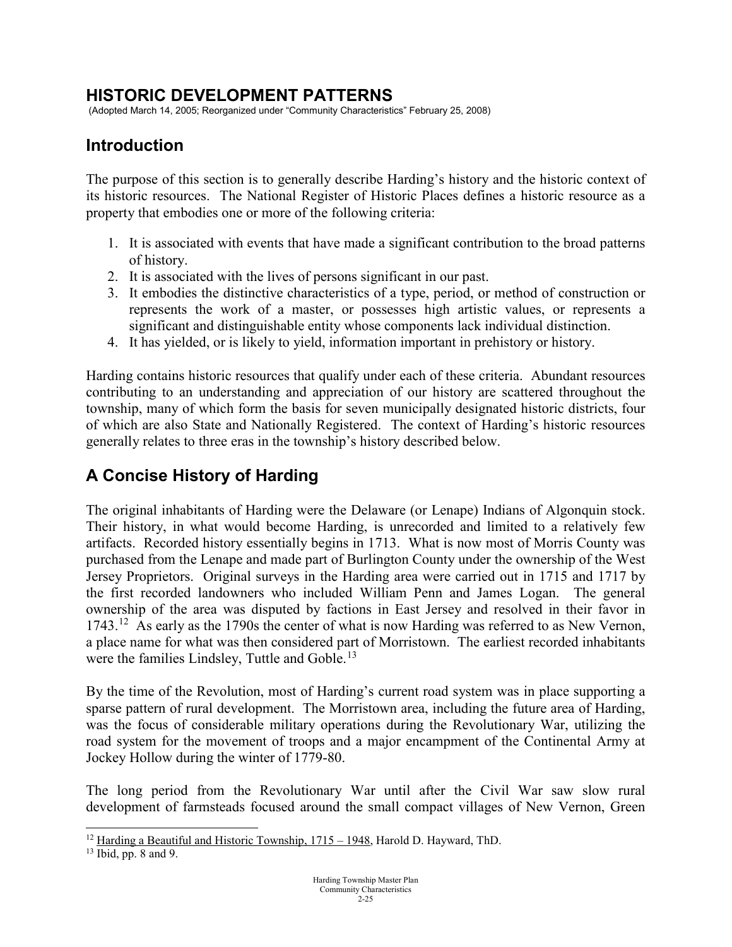### **HISTORIC DEVELOPMENT PATTERNS**

(Adopted March 14, 2005; Reorganized under "Community Characteristics" February 25, 2008)

## **Introduction**

The purpose of this section is to generally describe Harding's history and the historic context of its historic resources. The National Register of Historic Places defines a historic resource as a property that embodies one or more of the following criteria:

- 1. It is associated with events that have made a significant contribution to the broad patterns of history.
- 2. It is associated with the lives of persons significant in our past.
- 3. It embodies the distinctive characteristics of a type, period, or method of construction or represents the work of a master, or possesses high artistic values, or represents a significant and distinguishable entity whose components lack individual distinction.
- 4. It has yielded, or is likely to yield, information important in prehistory or history.

Harding contains historic resources that qualify under each of these criteria. Abundant resources contributing to an understanding and appreciation of our history are scattered throughout the township, many of which form the basis for seven municipally designated historic districts, four of which are also State and Nationally Registered. The context of Harding's historic resources generally relates to three eras in the township's history described below.

## **A Concise History of Harding**

The original inhabitants of Harding were the Delaware (or Lenape) Indians of Algonquin stock. Their history, in what would become Harding, is unrecorded and limited to a relatively few artifacts. Recorded history essentially begins in 1713. What is now most of Morris County was purchased from the Lenape and made part of Burlington County under the ownership of the West Jersey Proprietors. Original surveys in the Harding area were carried out in 1715 and 1717 by the first recorded landowners who included William Penn and James Logan. The general ownership of the area was disputed by factions in East Jersey and resolved in their favor in 1743.<sup>12</sup> As early as the 1790s the center of what is now Harding was referred to as New Vernon, a place name for what was then considered part of Morristown. The earliest recorded inhabitants were the families Lindsley, Tuttle and Goble.<sup>13</sup>

By the time of the Revolution, most of Harding's current road system was in place supporting a sparse pattern of rural development. The Morristown area, including the future area of Harding, was the focus of considerable military operations during the Revolutionary War, utilizing the road system for the movement of troops and a major encampment of the Continental Army at Jockey Hollow during the winter of 1779-80.

The long period from the Revolutionary War until after the Civil War saw slow rural development of farmsteads focused around the small compact villages of New Vernon, Green

<span id="page-24-0"></span> $12$  Harding a Beautiful and Historic Township,  $1715 - 1948$ , Harold D. Hayward, ThD.

<span id="page-24-1"></span><sup>13</sup> Ibid, pp. 8 and 9.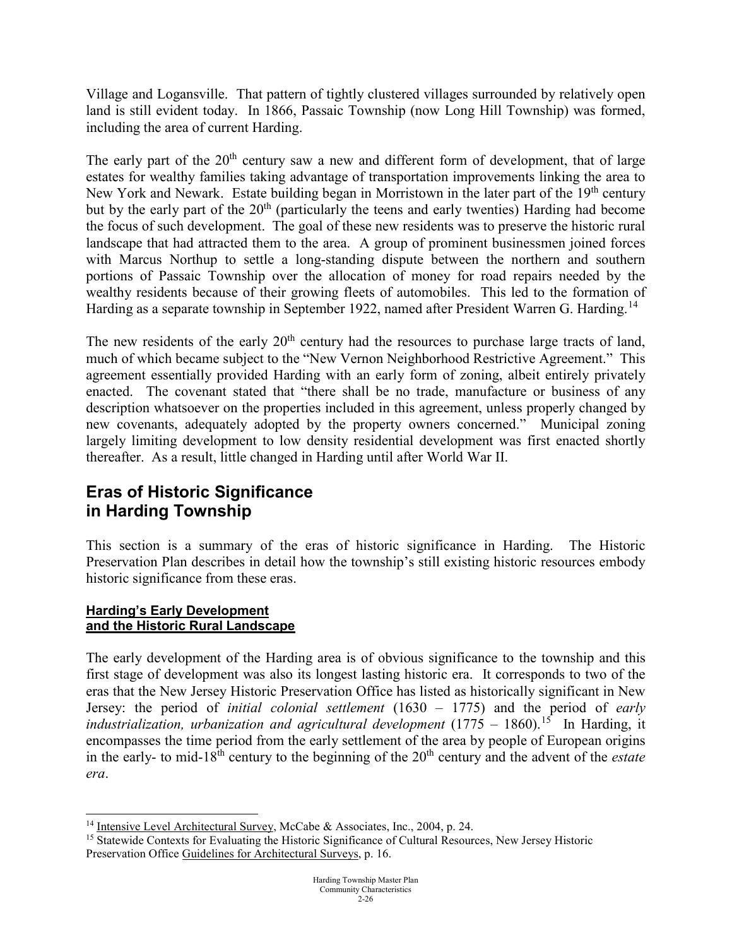Village and Logansville. That pattern of tightly clustered villages surrounded by relatively open land is still evident today. In 1866, Passaic Township (now Long Hill Township) was formed, including the area of current Harding.

The early part of the  $20<sup>th</sup>$  century saw a new and different form of development, that of large estates for wealthy families taking advantage of transportation improvements linking the area to New York and Newark. Estate building began in Morristown in the later part of the 19<sup>th</sup> century but by the early part of the  $20<sup>th</sup>$  (particularly the teens and early twenties) Harding had become the focus of such development. The goal of these new residents was to preserve the historic rural landscape that had attracted them to the area. A group of prominent businessmen joined forces with Marcus Northup to settle a long-standing dispute between the northern and southern portions of Passaic Township over the allocation of money for road repairs needed by the wealthy residents because of their growing fleets of automobiles. This led to the formation of Harding as a separate township in September 1922, named after President Warren G. Harding.<sup>14</sup>

The new residents of the early  $20<sup>th</sup>$  century had the resources to purchase large tracts of land, much of which became subject to the "New Vernon Neighborhood Restrictive Agreement." This agreement essentially provided Harding with an early form of zoning, albeit entirely privately enacted. The covenant stated that "there shall be no trade, manufacture or business of any description whatsoever on the properties included in this agreement, unless properly changed by new covenants, adequately adopted by the property owners concerned." Municipal zoning largely limiting development to low density residential development was first enacted shortly thereafter. As a result, little changed in Harding until after World War II.

# **Eras of Historic Significance in Harding Township**

This section is a summary of the eras of historic significance in Harding. The Historic Preservation Plan describes in detail how the township's still existing historic resources embody historic significance from these eras.

### **Harding's Early Development and the Historic Rural Landscape**

The early development of the Harding area is of obvious significance to the township and this first stage of development was also its longest lasting historic era. It corresponds to two of the eras that the New Jersey Historic Preservation Office has listed as historically significant in New Jersey: the period of *initial colonial settlement* (1630 – 1775) and the period of *early industrialization, urbanization and agricultural development* (1775 – 1860).<sup>[15](#page-25-1)</sup> In Harding, it encompasses the time period from the early settlement of the area by people of European origins in the early- to mid-18<sup>th</sup> century to the beginning of the 20<sup>th</sup> century and the advent of the *estate era*.

<span id="page-25-0"></span><sup>&</sup>lt;sup>14</sup> Intensive Level Architectural Survey, McCabe & Associates, Inc., 2004, p. 24.

<span id="page-25-1"></span><sup>&</sup>lt;sup>15</sup> Statewide Contexts for Evaluating the Historic Significance of Cultural Resources, New Jersey Historic Preservation Office Guidelines for Architectural Surveys, p. 16.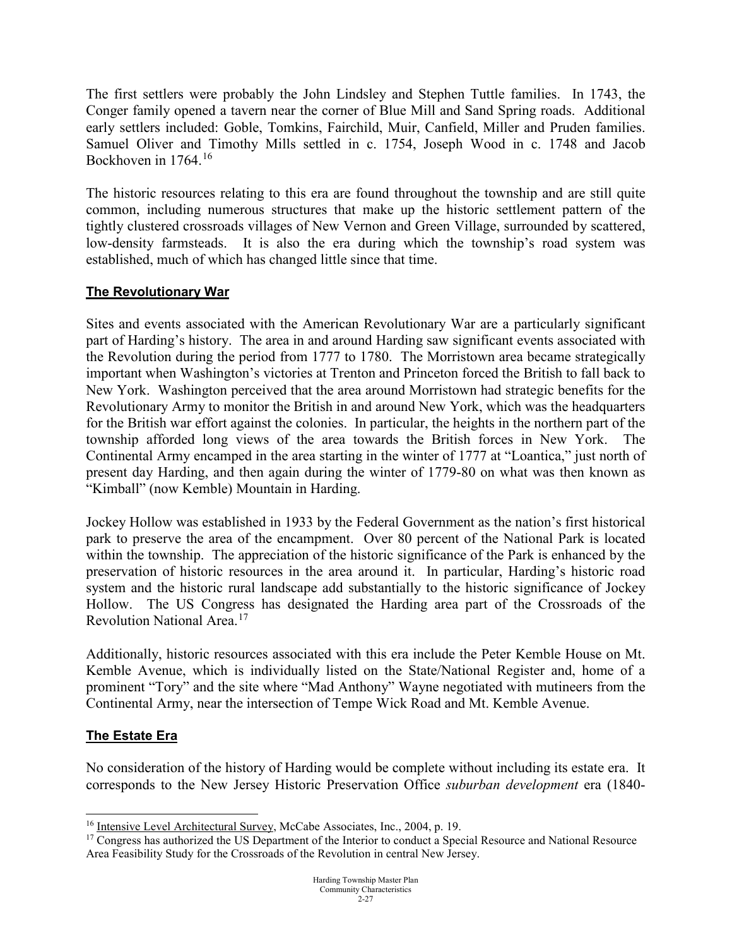The first settlers were probably the John Lindsley and Stephen Tuttle families. In 1743, the Conger family opened a tavern near the corner of Blue Mill and Sand Spring roads. Additional early settlers included: Goble, Tomkins, Fairchild, Muir, Canfield, Miller and Pruden families. Samuel Oliver and Timothy Mills settled in c. 1754, Joseph Wood in c. 1748 and Jacob Bockhoven in 1764.<sup>[16](#page-26-0)</sup>

The historic resources relating to this era are found throughout the township and are still quite common, including numerous structures that make up the historic settlement pattern of the tightly clustered crossroads villages of New Vernon and Green Village, surrounded by scattered, low-density farmsteads. It is also the era during which the township's road system was established, much of which has changed little since that time.

### **The Revolutionary War**

Sites and events associated with the American Revolutionary War are a particularly significant part of Harding's history. The area in and around Harding saw significant events associated with the Revolution during the period from 1777 to 1780. The Morristown area became strategically important when Washington's victories at Trenton and Princeton forced the British to fall back to New York. Washington perceived that the area around Morristown had strategic benefits for the Revolutionary Army to monitor the British in and around New York, which was the headquarters for the British war effort against the colonies. In particular, the heights in the northern part of the township afforded long views of the area towards the British forces in New York. The Continental Army encamped in the area starting in the winter of 1777 at "Loantica," just north of present day Harding, and then again during the winter of 1779-80 on what was then known as "Kimball" (now Kemble) Mountain in Harding.

Jockey Hollow was established in 1933 by the Federal Government as the nation's first historical park to preserve the area of the encampment. Over 80 percent of the National Park is located within the township. The appreciation of the historic significance of the Park is enhanced by the preservation of historic resources in the area around it. In particular, Harding's historic road system and the historic rural landscape add substantially to the historic significance of Jockey Hollow. The US Congress has designated the Harding area part of the Crossroads of the Revolution National Area.[17](#page-26-1) 

Additionally, historic resources associated with this era include the Peter Kemble House on Mt. Kemble Avenue, which is individually listed on the State/National Register and, home of a prominent "Tory" and the site where "Mad Anthony" Wayne negotiated with mutineers from the Continental Army, near the intersection of Tempe Wick Road and Mt. Kemble Avenue.

### **The Estate Era**

No consideration of the history of Harding would be complete without including its estate era. It corresponds to the New Jersey Historic Preservation Office *suburban development* era (1840-

<span id="page-26-0"></span><sup>&</sup>lt;sup>16</sup> Intensive Level Architectural Survey, McCabe Associates, Inc., 2004, p. 19.

<span id="page-26-1"></span><sup>&</sup>lt;sup>17</sup> Congress has authorized the US Department of the Interior to conduct a Special Resource and National Resource Area Feasibility Study for the Crossroads of the Revolution in central New Jersey.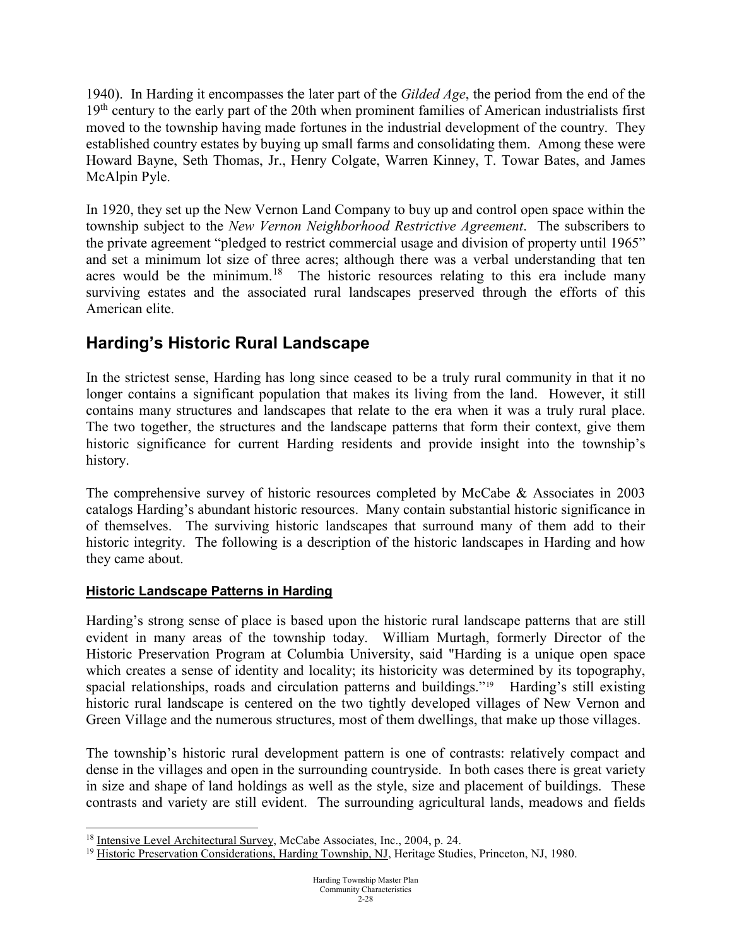1940). In Harding it encompasses the later part of the *Gilded Age*, the period from the end of the  $19<sup>th</sup>$  century to the early part of the 20th when prominent families of American industrialists first moved to the township having made fortunes in the industrial development of the country. They established country estates by buying up small farms and consolidating them. Among these were Howard Bayne, Seth Thomas, Jr., Henry Colgate, Warren Kinney, T. Towar Bates, and James McAlpin Pyle.

In 1920, they set up the New Vernon Land Company to buy up and control open space within the township subject to the *New Vernon Neighborhood Restrictive Agreement*. The subscribers to the private agreement "pledged to restrict commercial usage and division of property until 1965" and set a minimum lot size of three acres; although there was a verbal understanding that ten acres would be the minimum.<sup>18</sup> The historic resources relating to this era include many surviving estates and the associated rural landscapes preserved through the efforts of this American elite.

# **Harding's Historic Rural Landscape**

In the strictest sense, Harding has long since ceased to be a truly rural community in that it no longer contains a significant population that makes its living from the land. However, it still contains many structures and landscapes that relate to the era when it was a truly rural place. The two together, the structures and the landscape patterns that form their context, give them historic significance for current Harding residents and provide insight into the township's history.

The comprehensive survey of historic resources completed by McCabe & Associates in 2003 catalogs Harding's abundant historic resources. Many contain substantial historic significance in of themselves. The surviving historic landscapes that surround many of them add to their historic integrity. The following is a description of the historic landscapes in Harding and how they came about.

### **Historic Landscape Patterns in Harding**

Harding's strong sense of place is based upon the historic rural landscape patterns that are still evident in many areas of the township today. William Murtagh, formerly Director of the Historic Preservation Program at Columbia University, said "Harding is a unique open space which creates a sense of identity and locality; its historicity was determined by its topography, spacial relationships, roads and circulation patterns and buildings."<sup>[19](#page-27-1)</sup> Harding's still existing historic rural landscape is centered on the two tightly developed villages of New Vernon and Green Village and the numerous structures, most of them dwellings, that make up those villages.

The township's historic rural development pattern is one of contrasts: relatively compact and dense in the villages and open in the surrounding countryside. In both cases there is great variety in size and shape of land holdings as well as the style, size and placement of buildings. These contrasts and variety are still evident. The surrounding agricultural lands, meadows and fields

<span id="page-27-0"></span><sup>&</sup>lt;sup>18</sup> Intensive Level Architectural Survey, McCabe Associates, Inc., 2004, p. 24.

<span id="page-27-1"></span><sup>&</sup>lt;sup>19</sup> Historic Preservation Considerations, Harding Township, NJ, Heritage Studies, Princeton, NJ, 1980.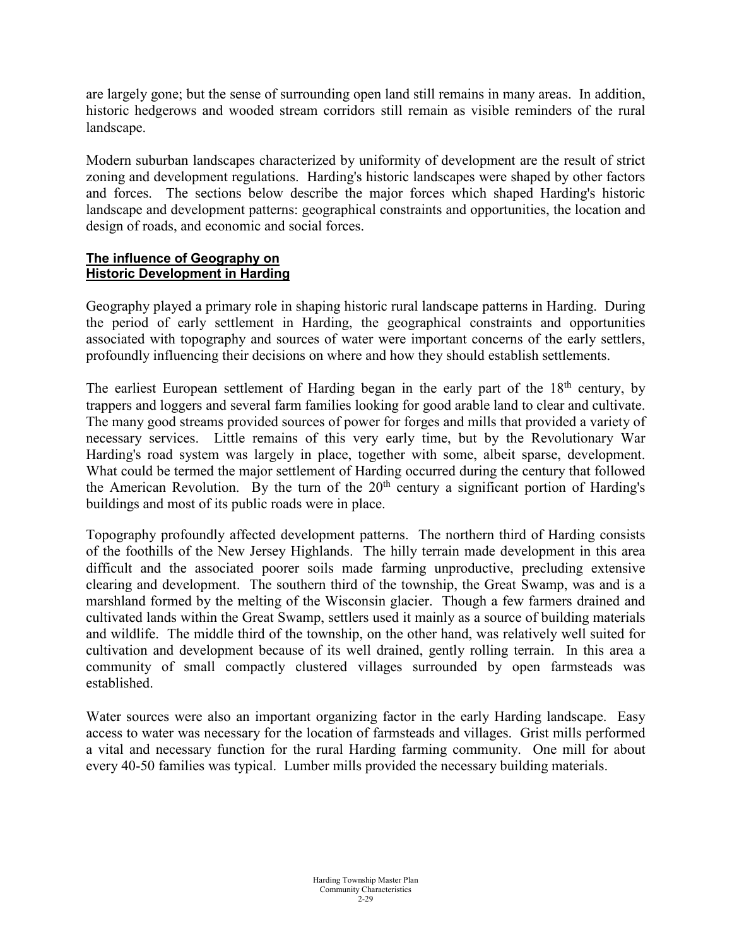are largely gone; but the sense of surrounding open land still remains in many areas. In addition, historic hedgerows and wooded stream corridors still remain as visible reminders of the rural landscape.

Modern suburban landscapes characterized by uniformity of development are the result of strict zoning and development regulations. Harding's historic landscapes were shaped by other factors and forces. The sections below describe the major forces which shaped Harding's historic landscape and development patterns: geographical constraints and opportunities, the location and design of roads, and economic and social forces.

#### **The influence of Geography on Historic Development in Harding**

Geography played a primary role in shaping historic rural landscape patterns in Harding. During the period of early settlement in Harding, the geographical constraints and opportunities associated with topography and sources of water were important concerns of the early settlers, profoundly influencing their decisions on where and how they should establish settlements.

The earliest European settlement of Harding began in the early part of the 18<sup>th</sup> century, by trappers and loggers and several farm families looking for good arable land to clear and cultivate. The many good streams provided sources of power for forges and mills that provided a variety of necessary services. Little remains of this very early time, but by the Revolutionary War Harding's road system was largely in place, together with some, albeit sparse, development. What could be termed the major settlement of Harding occurred during the century that followed the American Revolution. By the turn of the  $20<sup>th</sup>$  century a significant portion of Harding's buildings and most of its public roads were in place.

Topography profoundly affected development patterns. The northern third of Harding consists of the foothills of the New Jersey Highlands. The hilly terrain made development in this area difficult and the associated poorer soils made farming unproductive, precluding extensive clearing and development. The southern third of the township, the Great Swamp, was and is a marshland formed by the melting of the Wisconsin glacier. Though a few farmers drained and cultivated lands within the Great Swamp, settlers used it mainly as a source of building materials and wildlife. The middle third of the township, on the other hand, was relatively well suited for cultivation and development because of its well drained, gently rolling terrain. In this area a community of small compactly clustered villages surrounded by open farmsteads was established.

Water sources were also an important organizing factor in the early Harding landscape. Easy access to water was necessary for the location of farmsteads and villages. Grist mills performed a vital and necessary function for the rural Harding farming community. One mill for about every 40-50 families was typical. Lumber mills provided the necessary building materials.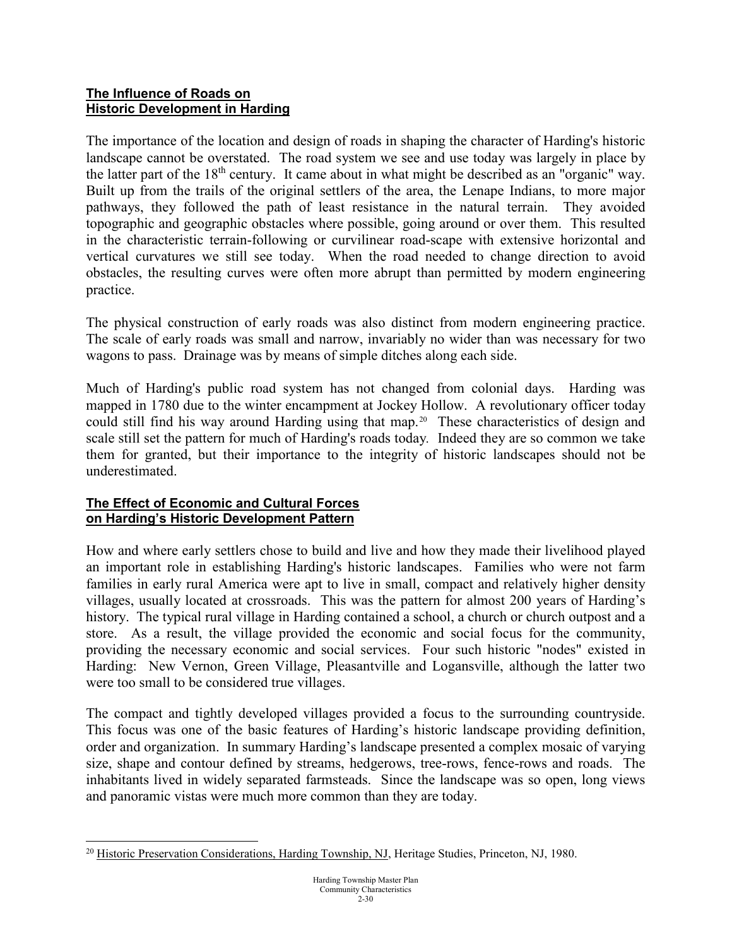#### **The Influence of Roads on Historic Development in Harding**

The importance of the location and design of roads in shaping the character of Harding's historic landscape cannot be overstated. The road system we see and use today was largely in place by the latter part of the 18<sup>th</sup> century. It came about in what might be described as an "organic" way. Built up from the trails of the original settlers of the area, the Lenape Indians, to more major pathways, they followed the path of least resistance in the natural terrain. They avoided topographic and geographic obstacles where possible, going around or over them. This resulted in the characteristic terrain-following or curvilinear road-scape with extensive horizontal and vertical curvatures we still see today. When the road needed to change direction to avoid obstacles, the resulting curves were often more abrupt than permitted by modern engineering practice.

The physical construction of early roads was also distinct from modern engineering practice. The scale of early roads was small and narrow, invariably no wider than was necessary for two wagons to pass. Drainage was by means of simple ditches along each side.

Much of Harding's public road system has not changed from colonial days. Harding was mapped in 1780 due to the winter encampment at Jockey Hollow. A revolutionary officer today could still find his way around Harding using that map.<sup>[20](#page-29-0)</sup> These characteristics of design and scale still set the pattern for much of Harding's roads today*.* Indeed they are so common we take them for granted, but their importance to the integrity of historic landscapes should not be underestimated.

### **The Effect of Economic and Cultural Forces on Harding's Historic Development Pattern**

How and where early settlers chose to build and live and how they made their livelihood played an important role in establishing Harding's historic landscapes. Families who were not farm families in early rural America were apt to live in small, compact and relatively higher density villages, usually located at crossroads. This was the pattern for almost 200 years of Harding's history. The typical rural village in Harding contained a school, a church or church outpost and a store. As a result, the village provided the economic and social focus for the community, providing the necessary economic and social services. Four such historic "nodes" existed in Harding: New Vernon, Green Village, Pleasantville and Logansville, although the latter two were too small to be considered true villages.

The compact and tightly developed villages provided a focus to the surrounding countryside. This focus was one of the basic features of Harding's historic landscape providing definition, order and organization. In summary Harding's landscape presented a complex mosaic of varying size, shape and contour defined by streams, hedgerows, tree-rows, fence-rows and roads. The inhabitants lived in widely separated farmsteads. Since the landscape was so open, long views and panoramic vistas were much more common than they are today.

<span id="page-29-0"></span><sup>&</sup>lt;sup>20</sup> Historic Preservation Considerations, Harding Township, NJ, Heritage Studies, Princeton, NJ, 1980.